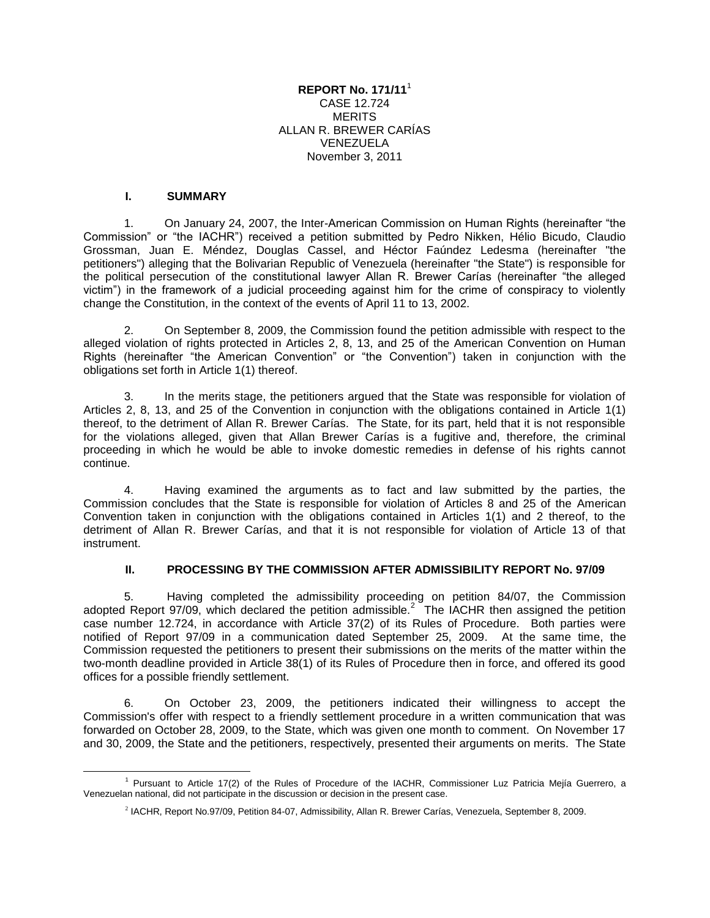### **REPORT No. 171/11**<sup>1</sup> CASE 12.724 **MERITS** ALLAN R. BREWER CARÍAS VENEZUELA November 3, 2011

### **I. SUMMARY**

1. On January 24, 2007, the Inter-American Commission on Human Rights (hereinafter "the Commission" or "the IACHR") received a petition submitted by Pedro Nikken, Hélio Bicudo, Claudio Grossman, Juan E. Méndez, Douglas Cassel, and Héctor Faúndez Ledesma (hereinafter "the petitioners") alleging that the Bolivarian Republic of Venezuela (hereinafter "the State") is responsible for the political persecution of the constitutional lawyer Allan R. Brewer Carías (hereinafter "the alleged victim") in the framework of a judicial proceeding against him for the crime of conspiracy to violently change the Constitution, in the context of the events of April 11 to 13, 2002.

2. On September 8, 2009, the Commission found the petition admissible with respect to the alleged violation of rights protected in Articles 2, 8, 13, and 25 of the American Convention on Human Rights (hereinafter "the American Convention" or "the Convention") taken in conjunction with the obligations set forth in Article 1(1) thereof.

3. In the merits stage, the petitioners argued that the State was responsible for violation of Articles 2, 8, 13, and 25 of the Convention in conjunction with the obligations contained in Article 1(1) thereof, to the detriment of Allan R. Brewer Carías. The State, for its part, held that it is not responsible for the violations alleged, given that Allan Brewer Carías is a fugitive and, therefore, the criminal proceeding in which he would be able to invoke domestic remedies in defense of his rights cannot continue.

4. Having examined the arguments as to fact and law submitted by the parties, the Commission concludes that the State is responsible for violation of Articles 8 and 25 of the American Convention taken in conjunction with the obligations contained in Articles 1(1) and 2 thereof, to the detriment of Allan R. Brewer Carías, and that it is not responsible for violation of Article 13 of that instrument.

### **II. PROCESSING BY THE COMMISSION AFTER ADMISSIBILITY REPORT No. 97/09**

5. Having completed the admissibility proceeding on petition 84/07, the Commission adopted Report 97/09, which declared the petition admissible.<sup>2</sup> The IACHR then assigned the petition case number 12.724, in accordance with Article 37(2) of its Rules of Procedure. Both parties were notified of Report 97/09 in a communication dated September 25, 2009. At the same time, the Commission requested the petitioners to present their submissions on the merits of the matter within the two-month deadline provided in Article 38(1) of its Rules of Procedure then in force, and offered its good offices for a possible friendly settlement.

6. On October 23, 2009, the petitioners indicated their willingness to accept the Commission's offer with respect to a friendly settlement procedure in a written communication that was forwarded on October 28, 2009, to the State, which was given one month to comment. On November 17 and 30, 2009, the State and the petitioners, respectively, presented their arguments on merits. The State

 $\overline{a}$ <sup>1</sup> Pursuant to Article 17(2) of the Rules of Procedure of the IACHR, Commissioner Luz Patricia Mejía Guerrero, a Venezuelan national, did not participate in the discussion or decision in the present case.

<sup>2</sup> IACHR, Report No.97/09, Petition 84-07, Admissibility, Allan R. Brewer Carías, Venezuela, September 8, 2009.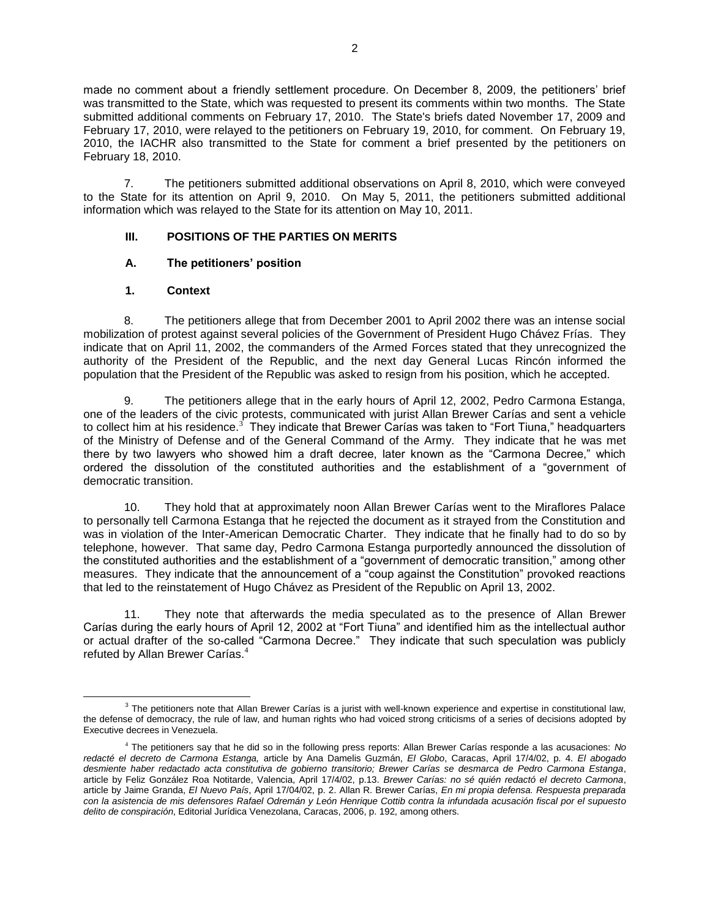made no comment about a friendly settlement procedure. On December 8, 2009, the petitioners' brief was transmitted to the State, which was requested to present its comments within two months. The State submitted additional comments on February 17, 2010. The State's briefs dated November 17, 2009 and February 17, 2010, were relayed to the petitioners on February 19, 2010, for comment. On February 19, 2010, the IACHR also transmitted to the State for comment a brief presented by the petitioners on February 18, 2010.

7. The petitioners submitted additional observations on April 8, 2010, which were conveyed to the State for its attention on April 9, 2010. On May 5, 2011, the petitioners submitted additional information which was relayed to the State for its attention on May 10, 2011.

## **III. POSITIONS OF THE PARTIES ON MERITS**

## **A. The petitioners' position**

## **1. Context**

 $\overline{a}$ 

8. The petitioners allege that from December 2001 to April 2002 there was an intense social mobilization of protest against several policies of the Government of President Hugo Chávez Frías. They indicate that on April 11, 2002, the commanders of the Armed Forces stated that they unrecognized the authority of the President of the Republic, and the next day General Lucas Rincón informed the population that the President of the Republic was asked to resign from his position, which he accepted.

9. The petitioners allege that in the early hours of April 12, 2002, Pedro Carmona Estanga, one of the leaders of the civic protests, communicated with jurist Allan Brewer Carías and sent a vehicle to collect him at his residence.<sup>3</sup> They indicate that Brewer Carías was taken to "Fort Tiuna," headquarters of the Ministry of Defense and of the General Command of the Army. They indicate that he was met there by two lawyers who showed him a draft decree, later known as the "Carmona Decree," which ordered the dissolution of the constituted authorities and the establishment of a "government of democratic transition.

10. They hold that at approximately noon Allan Brewer Carías went to the Miraflores Palace to personally tell Carmona Estanga that he rejected the document as it strayed from the Constitution and was in violation of the Inter-American Democratic Charter. They indicate that he finally had to do so by telephone, however. That same day, Pedro Carmona Estanga purportedly announced the dissolution of the constituted authorities and the establishment of a "government of democratic transition," among other measures. They indicate that the announcement of a "coup against the Constitution" provoked reactions that led to the reinstatement of Hugo Chávez as President of the Republic on April 13, 2002.

11. They note that afterwards the media speculated as to the presence of Allan Brewer Carías during the early hours of April 12, 2002 at "Fort Tiuna" and identified him as the intellectual author or actual drafter of the so-called "Carmona Decree." They indicate that such speculation was publicly refuted by Allan Brewer Carías.<sup>4</sup>

 $3$  The petitioners note that Allan Brewer Carías is a jurist with well-known experience and expertise in constitutional law, the defense of democracy, the rule of law, and human rights who had voiced strong criticisms of a series of decisions adopted by Executive decrees in Venezuela.

<sup>4</sup> The petitioners say that he did so in the following press reports: Allan Brewer Carías responde a las acusaciones: *No redacté el decreto de Carmona Estanga,* article by Ana Damelis Guzmán, *El Globo*, Caracas, April 17/4/02, p. 4. *El abogado desmiente haber redactado acta constitutiva de gobierno transitorio; Brewer Carías se desmarca de Pedro Carmona Estanga*, article by Feliz González Roa Notitarde, Valencia, April 17/4/02, p.13. *Brewer Carías: no sé quién redactó el decreto Carmona*, article by Jaime Granda, *El Nuevo País*, April 17/04/02, p. 2. Allan R. Brewer Carías, *En mi propia defensa. Respuesta preparada con la asistencia de mis defensores Rafael Odremán y León Henrique Cottib contra la infundada acusación fiscal por el supuesto delito de conspiración*, Editorial Jurídica Venezolana, Caracas, 2006, p. 192, among others.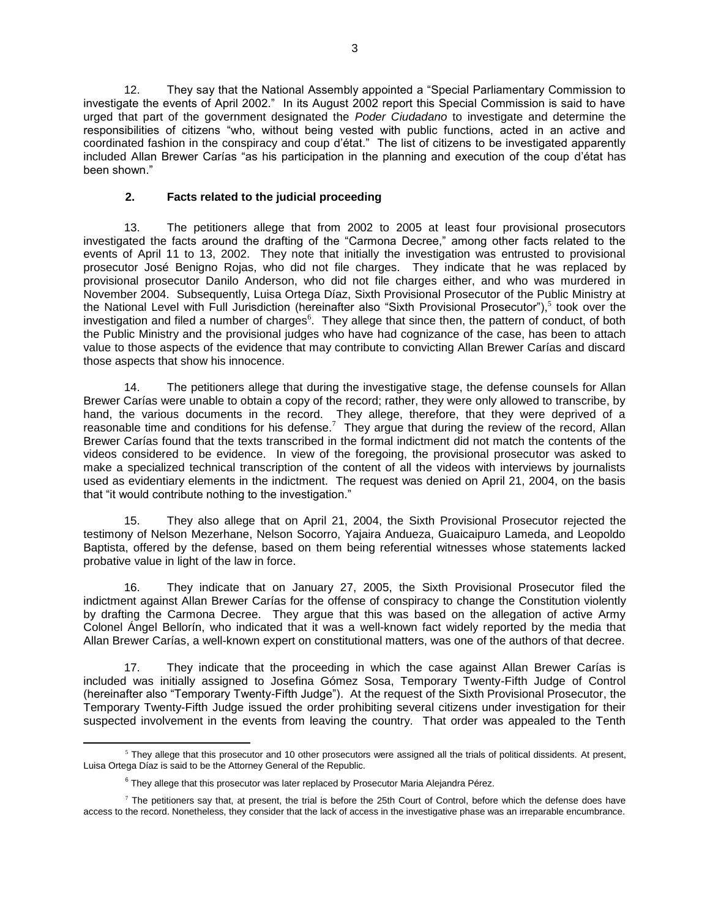12. They say that the National Assembly appointed a "Special Parliamentary Commission to investigate the events of April 2002." In its August 2002 report this Special Commission is said to have urged that part of the government designated the *Poder Ciudadano* to investigate and determine the responsibilities of citizens "who, without being vested with public functions, acted in an active and coordinated fashion in the conspiracy and coup d'état." The list of citizens to be investigated apparently included Allan Brewer Carías "as his participation in the planning and execution of the coup d'état has been shown."

## **2. Facts related to the judicial proceeding**

13. The petitioners allege that from 2002 to 2005 at least four provisional prosecutors investigated the facts around the drafting of the "Carmona Decree," among other facts related to the events of April 11 to 13, 2002. They note that initially the investigation was entrusted to provisional prosecutor José Benigno Rojas, who did not file charges. They indicate that he was replaced by provisional prosecutor Danilo Anderson, who did not file charges either, and who was murdered in November 2004. Subsequently, Luisa Ortega Díaz, Sixth Provisional Prosecutor of the Public Ministry at the National Level with Full Jurisdiction (hereinafter also "Sixth Provisional Prosecutor"),<sup>5</sup> took over the investigation and filed a number of charges<sup>6</sup>. They allege that since then, the pattern of conduct, of both the Public Ministry and the provisional judges who have had cognizance of the case, has been to attach value to those aspects of the evidence that may contribute to convicting Allan Brewer Carías and discard those aspects that show his innocence.

14. The petitioners allege that during the investigative stage, the defense counsels for Allan Brewer Carías were unable to obtain a copy of the record; rather, they were only allowed to transcribe, by hand, the various documents in the record. They allege, therefore, that they were deprived of a reasonable time and conditions for his defense.<sup>7</sup> They argue that during the review of the record, Allan Brewer Carías found that the texts transcribed in the formal indictment did not match the contents of the videos considered to be evidence. In view of the foregoing, the provisional prosecutor was asked to make a specialized technical transcription of the content of all the videos with interviews by journalists used as evidentiary elements in the indictment. The request was denied on April 21, 2004, on the basis that "it would contribute nothing to the investigation."

15. They also allege that on April 21, 2004, the Sixth Provisional Prosecutor rejected the testimony of Nelson Mezerhane, Nelson Socorro, Yajaira Andueza, Guaicaipuro Lameda, and Leopoldo Baptista, offered by the defense, based on them being referential witnesses whose statements lacked probative value in light of the law in force.

16. They indicate that on January 27, 2005, the Sixth Provisional Prosecutor filed the indictment against Allan Brewer Carías for the offense of conspiracy to change the Constitution violently by drafting the Carmona Decree. They argue that this was based on the allegation of active Army Colonel Ángel Bellorín, who indicated that it was a well-known fact widely reported by the media that Allan Brewer Carías, a well-known expert on constitutional matters, was one of the authors of that decree.

17. They indicate that the proceeding in which the case against Allan Brewer Carías is included was initially assigned to Josefina Gómez Sosa, Temporary Twenty-Fifth Judge of Control (hereinafter also "Temporary Twenty-Fifth Judge"). At the request of the Sixth Provisional Prosecutor, the Temporary Twenty-Fifth Judge issued the order prohibiting several citizens under investigation for their suspected involvement in the events from leaving the country. That order was appealed to the Tenth

 $\overline{a}$  $5$  They allege that this prosecutor and 10 other prosecutors were assigned all the trials of political dissidents. At present, Luisa Ortega Díaz is said to be the Attorney General of the Republic.

 $^6$  They allege that this prosecutor was later replaced by Prosecutor Maria Alejandra Pérez.

 $<sup>7</sup>$  The petitioners say that, at present, the trial is before the 25th Court of Control, before which the defense does have</sup> access to the record. Nonetheless, they consider that the lack of access in the investigative phase was an irreparable encumbrance.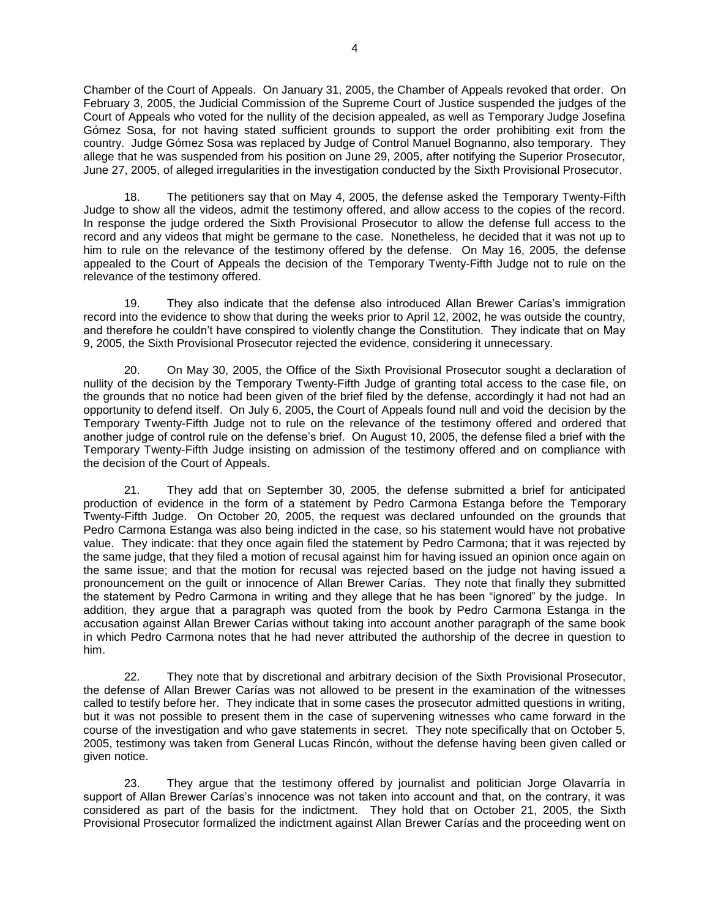Chamber of the Court of Appeals. On January 31, 2005, the Chamber of Appeals revoked that order. On February 3, 2005, the Judicial Commission of the Supreme Court of Justice suspended the judges of the Court of Appeals who voted for the nullity of the decision appealed, as well as Temporary Judge Josefina Gómez Sosa, for not having stated sufficient grounds to support the order prohibiting exit from the country. Judge Gómez Sosa was replaced by Judge of Control Manuel Bognanno, also temporary. They allege that he was suspended from his position on June 29, 2005, after notifying the Superior Prosecutor, June 27, 2005, of alleged irregularities in the investigation conducted by the Sixth Provisional Prosecutor.

18. The petitioners say that on May 4, 2005, the defense asked the Temporary Twenty-Fifth Judge to show all the videos, admit the testimony offered, and allow access to the copies of the record. In response the judge ordered the Sixth Provisional Prosecutor to allow the defense full access to the record and any videos that might be germane to the case. Nonetheless, he decided that it was not up to him to rule on the relevance of the testimony offered by the defense. On May 16, 2005, the defense appealed to the Court of Appeals the decision of the Temporary Twenty-Fifth Judge not to rule on the relevance of the testimony offered.

19. They also indicate that the defense also introduced Allan Brewer Carías's immigration record into the evidence to show that during the weeks prior to April 12, 2002, he was outside the country, and therefore he couldn't have conspired to violently change the Constitution. They indicate that on May 9, 2005, the Sixth Provisional Prosecutor rejected the evidence, considering it unnecessary.

20. On May 30, 2005, the Office of the Sixth Provisional Prosecutor sought a declaration of nullity of the decision by the Temporary Twenty-Fifth Judge of granting total access to the case file, on the grounds that no notice had been given of the brief filed by the defense, accordingly it had not had an opportunity to defend itself. On July 6, 2005, the Court of Appeals found null and void the decision by the Temporary Twenty-Fifth Judge not to rule on the relevance of the testimony offered and ordered that another judge of control rule on the defense's brief. On August 10, 2005, the defense filed a brief with the Temporary Twenty-Fifth Judge insisting on admission of the testimony offered and on compliance with the decision of the Court of Appeals.

21. They add that on September 30, 2005, the defense submitted a brief for anticipated production of evidence in the form of a statement by Pedro Carmona Estanga before the Temporary Twenty-Fifth Judge. On October 20, 2005, the request was declared unfounded on the grounds that Pedro Carmona Estanga was also being indicted in the case, so his statement would have not probative value. They indicate: that they once again filed the statement by Pedro Carmona; that it was rejected by the same judge, that they filed a motion of recusal against him for having issued an opinion once again on the same issue; and that the motion for recusal was rejected based on the judge not having issued a pronouncement on the guilt or innocence of Allan Brewer Carías. They note that finally they submitted the statement by Pedro Carmona in writing and they allege that he has been "ignored" by the judge. In addition, they argue that a paragraph was quoted from the book by Pedro Carmona Estanga in the accusation against Allan Brewer Carías without taking into account another paragraph of the same book in which Pedro Carmona notes that he had never attributed the authorship of the decree in question to him.

22. They note that by discretional and arbitrary decision of the Sixth Provisional Prosecutor, the defense of Allan Brewer Carías was not allowed to be present in the examination of the witnesses called to testify before her. They indicate that in some cases the prosecutor admitted questions in writing, but it was not possible to present them in the case of supervening witnesses who came forward in the course of the investigation and who gave statements in secret. They note specifically that on October 5, 2005, testimony was taken from General Lucas Rincón, without the defense having been given called or given notice.

23. They argue that the testimony offered by journalist and politician Jorge Olavarría in support of Allan Brewer Carías's innocence was not taken into account and that, on the contrary, it was considered as part of the basis for the indictment. They hold that on October 21, 2005, the Sixth Provisional Prosecutor formalized the indictment against Allan Brewer Carías and the proceeding went on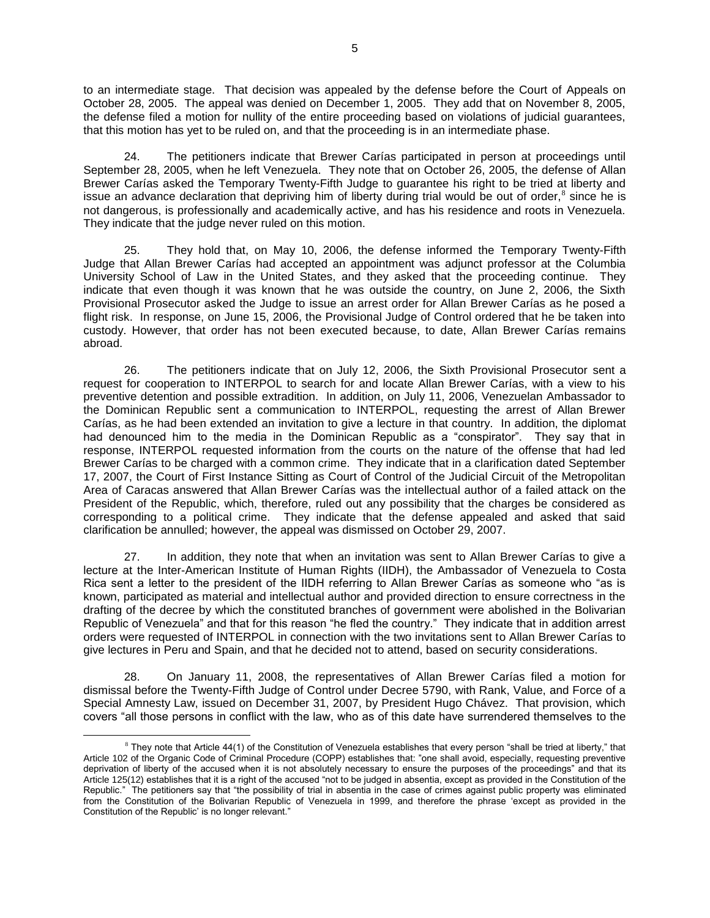to an intermediate stage. That decision was appealed by the defense before the Court of Appeals on October 28, 2005. The appeal was denied on December 1, 2005. They add that on November 8, 2005, the defense filed a motion for nullity of the entire proceeding based on violations of judicial guarantees, that this motion has yet to be ruled on, and that the proceeding is in an intermediate phase.

24. The petitioners indicate that Brewer Carías participated in person at proceedings until September 28, 2005, when he left Venezuela. They note that on October 26, 2005, the defense of Allan Brewer Carías asked the Temporary Twenty-Fifth Judge to guarantee his right to be tried at liberty and issue an advance declaration that depriving him of liberty during trial would be out of order, $^8$  since he is not dangerous, is professionally and academically active, and has his residence and roots in Venezuela. They indicate that the judge never ruled on this motion.

25. They hold that, on May 10, 2006, the defense informed the Temporary Twenty-Fifth Judge that Allan Brewer Carías had accepted an appointment was adjunct professor at the Columbia University School of Law in the United States, and they asked that the proceeding continue. They indicate that even though it was known that he was outside the country, on June 2, 2006, the Sixth Provisional Prosecutor asked the Judge to issue an arrest order for Allan Brewer Carías as he posed a flight risk. In response, on June 15, 2006, the Provisional Judge of Control ordered that he be taken into custody. However, that order has not been executed because, to date, Allan Brewer Carías remains abroad.

26. The petitioners indicate that on July 12, 2006, the Sixth Provisional Prosecutor sent a request for cooperation to INTERPOL to search for and locate Allan Brewer Carías, with a view to his preventive detention and possible extradition. In addition, on July 11, 2006, Venezuelan Ambassador to the Dominican Republic sent a communication to INTERPOL, requesting the arrest of Allan Brewer Carías, as he had been extended an invitation to give a lecture in that country. In addition, the diplomat had denounced him to the media in the Dominican Republic as a "conspirator". They say that in response, INTERPOL requested information from the courts on the nature of the offense that had led Brewer Carías to be charged with a common crime. They indicate that in a clarification dated September 17, 2007, the Court of First Instance Sitting as Court of Control of the Judicial Circuit of the Metropolitan Area of Caracas answered that Allan Brewer Carías was the intellectual author of a failed attack on the President of the Republic, which, therefore, ruled out any possibility that the charges be considered as corresponding to a political crime. They indicate that the defense appealed and asked that said clarification be annulled; however, the appeal was dismissed on October 29, 2007.

27. In addition, they note that when an invitation was sent to Allan Brewer Carías to give a lecture at the Inter-American Institute of Human Rights (IIDH), the Ambassador of Venezuela to Costa Rica sent a letter to the president of the IIDH referring to Allan Brewer Carías as someone who "as is known, participated as material and intellectual author and provided direction to ensure correctness in the drafting of the decree by which the constituted branches of government were abolished in the Bolivarian Republic of Venezuela" and that for this reason "he fled the country." They indicate that in addition arrest orders were requested of INTERPOL in connection with the two invitations sent to Allan Brewer Carías to give lectures in Peru and Spain, and that he decided not to attend, based on security considerations.

28. On January 11, 2008, the representatives of Allan Brewer Carías filed a motion for dismissal before the Twenty-Fifth Judge of Control under Decree 5790, with Rank, Value, and Force of a Special Amnesty Law, issued on December 31, 2007, by President Hugo Chávez. That provision, which covers "all those persons in conflict with the law, who as of this date have surrendered themselves to the

 $\overline{a}$  $8$  They note that Article 44(1) of the Constitution of Venezuela establishes that every person "shall be tried at liberty," that Article 102 of the Organic Code of Criminal Procedure (COPP) establishes that: "one shall avoid, especially, requesting preventive deprivation of liberty of the accused when it is not absolutely necessary to ensure the purposes of the proceedings" and that its Article 125(12) establishes that it is a right of the accused "not to be judged in absentia, except as provided in the Constitution of the Republic." The petitioners say that "the possibility of trial in absentia in the case of crimes against public property was eliminated from the Constitution of the Bolivarian Republic of Venezuela in 1999, and therefore the phrase 'except as provided in the Constitution of the Republic' is no longer relevant."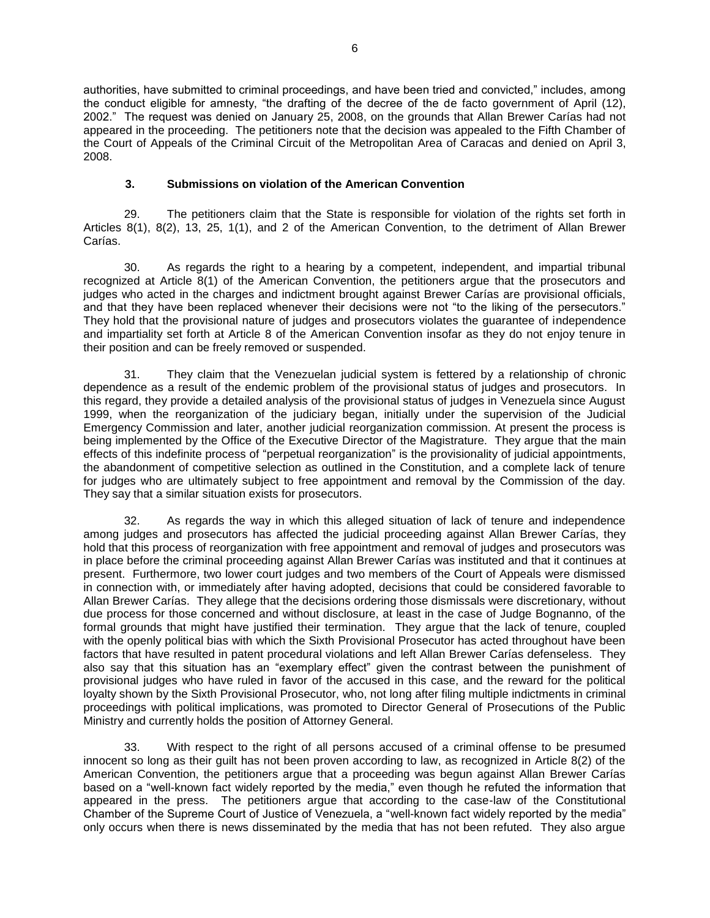authorities, have submitted to criminal proceedings, and have been tried and convicted," includes, among the conduct eligible for amnesty, "the drafting of the decree of the de facto government of April (12), 2002." The request was denied on January 25, 2008, on the grounds that Allan Brewer Carías had not appeared in the proceeding. The petitioners note that the decision was appealed to the Fifth Chamber of the Court of Appeals of the Criminal Circuit of the Metropolitan Area of Caracas and denied on April 3, 2008.

## **3. Submissions on violation of the American Convention**

29. The petitioners claim that the State is responsible for violation of the rights set forth in Articles 8(1), 8(2), 13, 25, 1(1), and 2 of the American Convention, to the detriment of Allan Brewer Carías.

30. As regards the right to a hearing by a competent, independent, and impartial tribunal recognized at Article 8(1) of the American Convention, the petitioners argue that the prosecutors and judges who acted in the charges and indictment brought against Brewer Carías are provisional officials, and that they have been replaced whenever their decisions were not "to the liking of the persecutors." They hold that the provisional nature of judges and prosecutors violates the guarantee of independence and impartiality set forth at Article 8 of the American Convention insofar as they do not enjoy tenure in their position and can be freely removed or suspended.

31. They claim that the Venezuelan judicial system is fettered by a relationship of chronic dependence as a result of the endemic problem of the provisional status of judges and prosecutors. In this regard, they provide a detailed analysis of the provisional status of judges in Venezuela since August 1999, when the reorganization of the judiciary began, initially under the supervision of the Judicial Emergency Commission and later, another judicial reorganization commission. At present the process is being implemented by the Office of the Executive Director of the Magistrature. They argue that the main effects of this indefinite process of "perpetual reorganization" is the provisionality of judicial appointments, the abandonment of competitive selection as outlined in the Constitution, and a complete lack of tenure for judges who are ultimately subject to free appointment and removal by the Commission of the day. They say that a similar situation exists for prosecutors.

32. As regards the way in which this alleged situation of lack of tenure and independence among judges and prosecutors has affected the judicial proceeding against Allan Brewer Carías, they hold that this process of reorganization with free appointment and removal of judges and prosecutors was in place before the criminal proceeding against Allan Brewer Carías was instituted and that it continues at present. Furthermore, two lower court judges and two members of the Court of Appeals were dismissed in connection with, or immediately after having adopted, decisions that could be considered favorable to Allan Brewer Carías. They allege that the decisions ordering those dismissals were discretionary, without due process for those concerned and without disclosure, at least in the case of Judge Bognanno, of the formal grounds that might have justified their termination. They argue that the lack of tenure, coupled with the openly political bias with which the Sixth Provisional Prosecutor has acted throughout have been factors that have resulted in patent procedural violations and left Allan Brewer Carías defenseless. They also say that this situation has an "exemplary effect" given the contrast between the punishment of provisional judges who have ruled in favor of the accused in this case, and the reward for the political loyalty shown by the Sixth Provisional Prosecutor, who, not long after filing multiple indictments in criminal proceedings with political implications, was promoted to Director General of Prosecutions of the Public Ministry and currently holds the position of Attorney General.

33. With respect to the right of all persons accused of a criminal offense to be presumed innocent so long as their guilt has not been proven according to law, as recognized in Article 8(2) of the American Convention, the petitioners argue that a proceeding was begun against Allan Brewer Carías based on a "well-known fact widely reported by the media," even though he refuted the information that appeared in the press. The petitioners argue that according to the case-law of the Constitutional Chamber of the Supreme Court of Justice of Venezuela, a "well-known fact widely reported by the media" only occurs when there is news disseminated by the media that has not been refuted. They also argue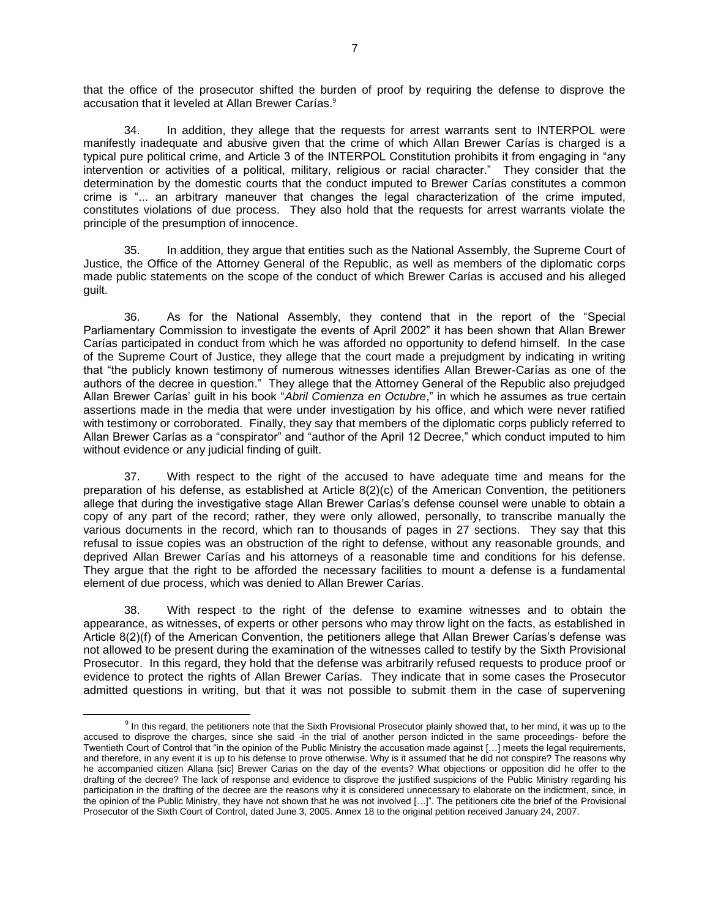that the office of the prosecutor shifted the burden of proof by requiring the defense to disprove the accusation that it leveled at Allan Brewer Carías.<sup>9</sup>

34. In addition, they allege that the requests for arrest warrants sent to INTERPOL were manifestly inadequate and abusive given that the crime of which Allan Brewer Carías is charged is a typical pure political crime, and Article 3 of the INTERPOL Constitution prohibits it from engaging in "any intervention or activities of a political, military, religious or racial character." They consider that the determination by the domestic courts that the conduct imputed to Brewer Carías constitutes a common crime is "... an arbitrary maneuver that changes the legal characterization of the crime imputed, constitutes violations of due process. They also hold that the requests for arrest warrants violate the principle of the presumption of innocence.

35. In addition, they argue that entities such as the National Assembly, the Supreme Court of Justice, the Office of the Attorney General of the Republic, as well as members of the diplomatic corps made public statements on the scope of the conduct of which Brewer Carías is accused and his alleged guilt.

36. As for the National Assembly, they contend that in the report of the "Special Parliamentary Commission to investigate the events of April 2002" it has been shown that Allan Brewer Carías participated in conduct from which he was afforded no opportunity to defend himself. In the case of the Supreme Court of Justice, they allege that the court made a prejudgment by indicating in writing that "the publicly known testimony of numerous witnesses identifies Allan Brewer-Carías as one of the authors of the decree in question." They allege that the Attorney General of the Republic also prejudged Allan Brewer Carías' guilt in his book "*Abril Comienza en Octubre*," in which he assumes as true certain assertions made in the media that were under investigation by his office, and which were never ratified with testimony or corroborated. Finally, they say that members of the diplomatic corps publicly referred to Allan Brewer Carías as a "conspirator" and "author of the April 12 Decree," which conduct imputed to him without evidence or any judicial finding of guilt.

37. With respect to the right of the accused to have adequate time and means for the preparation of his defense, as established at Article 8(2)(c) of the American Convention, the petitioners allege that during the investigative stage Allan Brewer Carías's defense counsel were unable to obtain a copy of any part of the record; rather, they were only allowed, personally, to transcribe manually the various documents in the record, which ran to thousands of pages in 27 sections. They say that this refusal to issue copies was an obstruction of the right to defense, without any reasonable grounds, and deprived Allan Brewer Carías and his attorneys of a reasonable time and conditions for his defense. They argue that the right to be afforded the necessary facilities to mount a defense is a fundamental element of due process, which was denied to Allan Brewer Carías.

38. With respect to the right of the defense to examine witnesses and to obtain the appearance, as witnesses, of experts or other persons who may throw light on the facts, as established in Article 8(2)(f) of the American Convention, the petitioners allege that Allan Brewer Carías's defense was not allowed to be present during the examination of the witnesses called to testify by the Sixth Provisional Prosecutor. In this regard, they hold that the defense was arbitrarily refused requests to produce proof or evidence to protect the rights of Allan Brewer Carías. They indicate that in some cases the Prosecutor admitted questions in writing, but that it was not possible to submit them in the case of supervening

<sup>&</sup>lt;sup>9</sup> In this regard, the petitioners note that the Sixth Provisional Prosecutor plainly showed that, to her mind, it was up to the accused to disprove the charges, since she said -in the trial of another person indicted in the same proceedings- before the Twentieth Court of Control that "in the opinion of the Public Ministry the accusation made against […] meets the legal requirements, and therefore, in any event it is up to his defense to prove otherwise. Why is it assumed that he did not conspire? The reasons why he accompanied citizen Allana [sic] Brewer Carias on the day of the events? What objections or opposition did he offer to the drafting of the decree? The lack of response and evidence to disprove the justified suspicions of the Public Ministry regarding his participation in the drafting of the decree are the reasons why it is considered unnecessary to elaborate on the indictment, since, in the opinion of the Public Ministry, they have not shown that he was not involved […]". The petitioners cite the brief of the Provisional Prosecutor of the Sixth Court of Control, dated June 3, 2005. Annex 18 to the original petition received January 24, 2007.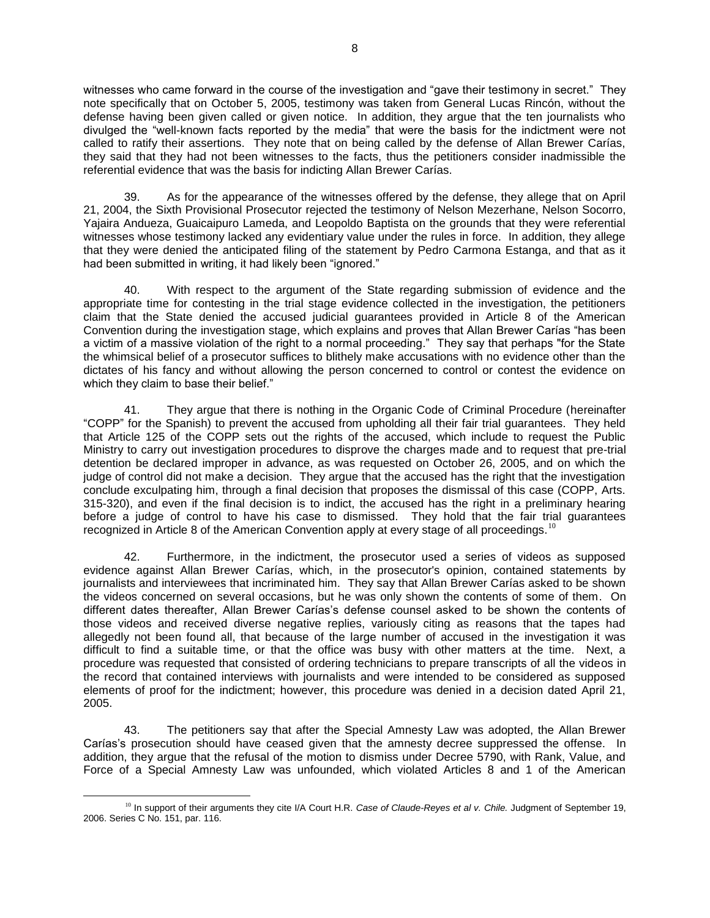witnesses who came forward in the course of the investigation and "gave their testimony in secret." They note specifically that on October 5, 2005, testimony was taken from General Lucas Rincón, without the defense having been given called or given notice. In addition, they argue that the ten journalists who divulged the "well-known facts reported by the media" that were the basis for the indictment were not called to ratify their assertions. They note that on being called by the defense of Allan Brewer Carías, they said that they had not been witnesses to the facts, thus the petitioners consider inadmissible the referential evidence that was the basis for indicting Allan Brewer Carías.

39. As for the appearance of the witnesses offered by the defense, they allege that on April 21, 2004, the Sixth Provisional Prosecutor rejected the testimony of Nelson Mezerhane, Nelson Socorro, Yajaira Andueza, Guaicaipuro Lameda, and Leopoldo Baptista on the grounds that they were referential witnesses whose testimony lacked any evidentiary value under the rules in force. In addition, they allege that they were denied the anticipated filing of the statement by Pedro Carmona Estanga, and that as it had been submitted in writing, it had likely been "ignored."

40. With respect to the argument of the State regarding submission of evidence and the appropriate time for contesting in the trial stage evidence collected in the investigation, the petitioners claim that the State denied the accused judicial guarantees provided in Article 8 of the American Convention during the investigation stage, which explains and proves that Allan Brewer Carías "has been a victim of a massive violation of the right to a normal proceeding." They say that perhaps "for the State the whimsical belief of a prosecutor suffices to blithely make accusations with no evidence other than the dictates of his fancy and without allowing the person concerned to control or contest the evidence on which they claim to base their belief."

41. They argue that there is nothing in the Organic Code of Criminal Procedure (hereinafter "COPP" for the Spanish) to prevent the accused from upholding all their fair trial guarantees. They held that Article 125 of the COPP sets out the rights of the accused, which include to request the Public Ministry to carry out investigation procedures to disprove the charges made and to request that pre-trial detention be declared improper in advance, as was requested on October 26, 2005, and on which the judge of control did not make a decision. They argue that the accused has the right that the investigation conclude exculpating him, through a final decision that proposes the dismissal of this case (COPP, Arts. 315-320), and even if the final decision is to indict, the accused has the right in a preliminary hearing before a judge of control to have his case to dismissed. They hold that the fair trial guarantees recognized in Article 8 of the American Convention apply at every stage of all proceedings.<sup>10</sup>

42. Furthermore, in the indictment, the prosecutor used a series of videos as supposed evidence against Allan Brewer Carías, which, in the prosecutor's opinion, contained statements by journalists and interviewees that incriminated him. They say that Allan Brewer Carías asked to be shown the videos concerned on several occasions, but he was only shown the contents of some of them. On different dates thereafter, Allan Brewer Carías's defense counsel asked to be shown the contents of those videos and received diverse negative replies, variously citing as reasons that the tapes had allegedly not been found all, that because of the large number of accused in the investigation it was difficult to find a suitable time, or that the office was busy with other matters at the time. Next, a procedure was requested that consisted of ordering technicians to prepare transcripts of all the videos in the record that contained interviews with journalists and were intended to be considered as supposed elements of proof for the indictment; however, this procedure was denied in a decision dated April 21, 2005.

43. The petitioners say that after the Special Amnesty Law was adopted, the Allan Brewer Carías's prosecution should have ceased given that the amnesty decree suppressed the offense. In addition, they argue that the refusal of the motion to dismiss under Decree 5790, with Rank, Value, and Force of a Special Amnesty Law was unfounded, which violated Articles 8 and 1 of the American

 $\overline{a}$ <sup>10</sup> In support of their arguments they cite I/A Court H.R. *Case of Claude-Reyes et al v. Chile.* Judgment of September 19, 2006. Series C No. 151, par. 116.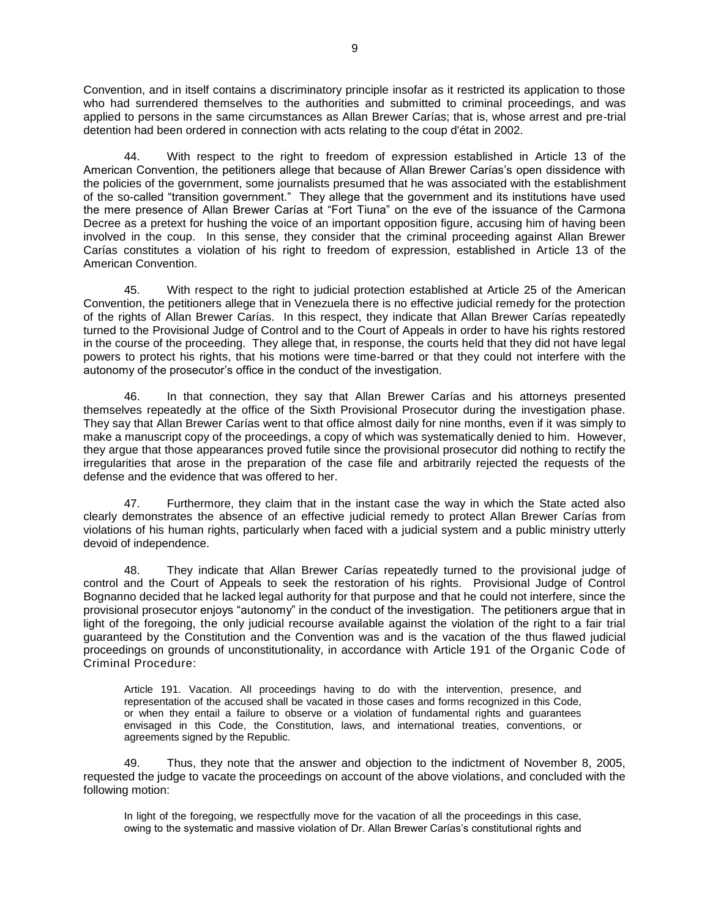Convention, and in itself contains a discriminatory principle insofar as it restricted its application to those who had surrendered themselves to the authorities and submitted to criminal proceedings, and was applied to persons in the same circumstances as Allan Brewer Carías; that is, whose arrest and pre-trial detention had been ordered in connection with acts relating to the coup d'état in 2002.

44. With respect to the right to freedom of expression established in Article 13 of the American Convention, the petitioners allege that because of Allan Brewer Carías's open dissidence with the policies of the government, some journalists presumed that he was associated with the establishment of the so-called "transition government." They allege that the government and its institutions have used the mere presence of Allan Brewer Carías at "Fort Tiuna" on the eve of the issuance of the Carmona Decree as a pretext for hushing the voice of an important opposition figure, accusing him of having been involved in the coup. In this sense, they consider that the criminal proceeding against Allan Brewer Carías constitutes a violation of his right to freedom of expression, established in Article 13 of the American Convention.

45. With respect to the right to judicial protection established at Article 25 of the American Convention, the petitioners allege that in Venezuela there is no effective judicial remedy for the protection of the rights of Allan Brewer Carías. In this respect, they indicate that Allan Brewer Carías repeatedly turned to the Provisional Judge of Control and to the Court of Appeals in order to have his rights restored in the course of the proceeding. They allege that, in response, the courts held that they did not have legal powers to protect his rights, that his motions were time-barred or that they could not interfere with the autonomy of the prosecutor's office in the conduct of the investigation.

46. In that connection, they say that Allan Brewer Carías and his attorneys presented themselves repeatedly at the office of the Sixth Provisional Prosecutor during the investigation phase. They say that Allan Brewer Carías went to that office almost daily for nine months, even if it was simply to make a manuscript copy of the proceedings, a copy of which was systematically denied to him. However, they argue that those appearances proved futile since the provisional prosecutor did nothing to rectify the irregularities that arose in the preparation of the case file and arbitrarily rejected the requests of the defense and the evidence that was offered to her.

47. Furthermore, they claim that in the instant case the way in which the State acted also clearly demonstrates the absence of an effective judicial remedy to protect Allan Brewer Carías from violations of his human rights, particularly when faced with a judicial system and a public ministry utterly devoid of independence.

48. They indicate that Allan Brewer Carías repeatedly turned to the provisional judge of control and the Court of Appeals to seek the restoration of his rights. Provisional Judge of Control Bognanno decided that he lacked legal authority for that purpose and that he could not interfere, since the provisional prosecutor enjoys "autonomy" in the conduct of the investigation. The petitioners argue that in light of the foregoing, the only judicial recourse available against the violation of the right to a fair trial guaranteed by the Constitution and the Convention was and is the vacation of the thus flawed judicial proceedings on grounds of unconstitutionality, in accordance with Article 191 of the Organic Code of Criminal Procedure:

Article 191. Vacation. All proceedings having to do with the intervention, presence, and representation of the accused shall be vacated in those cases and forms recognized in this Code, or when they entail a failure to observe or a violation of fundamental rights and guarantees envisaged in this Code, the Constitution, laws, and international treaties, conventions, or agreements signed by the Republic.

49. Thus, they note that the answer and objection to the indictment of November 8, 2005, requested the judge to vacate the proceedings on account of the above violations, and concluded with the following motion:

In light of the foregoing, we respectfully move for the vacation of all the proceedings in this case, owing to the systematic and massive violation of Dr. Allan Brewer Carías's constitutional rights and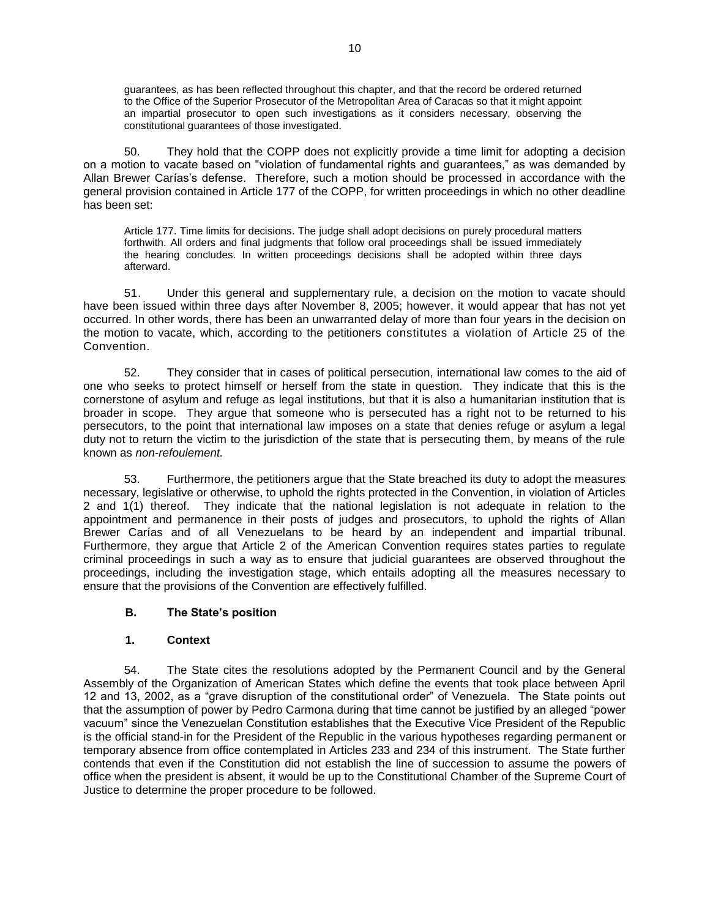guarantees, as has been reflected throughout this chapter, and that the record be ordered returned to the Office of the Superior Prosecutor of the Metropolitan Area of Caracas so that it might appoint an impartial prosecutor to open such investigations as it considers necessary, observing the constitutional guarantees of those investigated.

50. They hold that the COPP does not explicitly provide a time limit for adopting a decision on a motion to vacate based on "violation of fundamental rights and guarantees," as was demanded by Allan Brewer Carías's defense. Therefore, such a motion should be processed in accordance with the general provision contained in Article 177 of the COPP, for written proceedings in which no other deadline has been set:

Article 177. Time limits for decisions. The judge shall adopt decisions on purely procedural matters forthwith. All orders and final judgments that follow oral proceedings shall be issued immediately the hearing concludes. In written proceedings decisions shall be adopted within three days afterward.

51. Under this general and supplementary rule, a decision on the motion to vacate should have been issued within three days after November 8, 2005; however, it would appear that has not yet occurred. In other words, there has been an unwarranted delay of more than four years in the decision on the motion to vacate, which, according to the petitioners constitutes a violation of Article 25 of the Convention.

52. They consider that in cases of political persecution, international law comes to the aid of one who seeks to protect himself or herself from the state in question. They indicate that this is the cornerstone of asylum and refuge as legal institutions, but that it is also a humanitarian institution that is broader in scope. They argue that someone who is persecuted has a right not to be returned to his persecutors, to the point that international law imposes on a state that denies refuge or asylum a legal duty not to return the victim to the jurisdiction of the state that is persecuting them, by means of the rule known as *non-refoulement.*

53. Furthermore, the petitioners argue that the State breached its duty to adopt the measures necessary, legislative or otherwise, to uphold the rights protected in the Convention, in violation of Articles 2 and 1(1) thereof. They indicate that the national legislation is not adequate in relation to the appointment and permanence in their posts of judges and prosecutors, to uphold the rights of Allan Brewer Carías and of all Venezuelans to be heard by an independent and impartial tribunal. Furthermore, they argue that Article 2 of the American Convention requires states parties to regulate criminal proceedings in such a way as to ensure that judicial guarantees are observed throughout the proceedings, including the investigation stage, which entails adopting all the measures necessary to ensure that the provisions of the Convention are effectively fulfilled.

### **B. The State's position**

### **1. Context**

54. The State cites the resolutions adopted by the Permanent Council and by the General Assembly of the Organization of American States which define the events that took place between April 12 and 13, 2002, as a "grave disruption of the constitutional order" of Venezuela. The State points out that the assumption of power by Pedro Carmona during that time cannot be justified by an alleged "power vacuum" since the Venezuelan Constitution establishes that the Executive Vice President of the Republic is the official stand-in for the President of the Republic in the various hypotheses regarding permanent or temporary absence from office contemplated in Articles 233 and 234 of this instrument. The State further contends that even if the Constitution did not establish the line of succession to assume the powers of office when the president is absent, it would be up to the Constitutional Chamber of the Supreme Court of Justice to determine the proper procedure to be followed.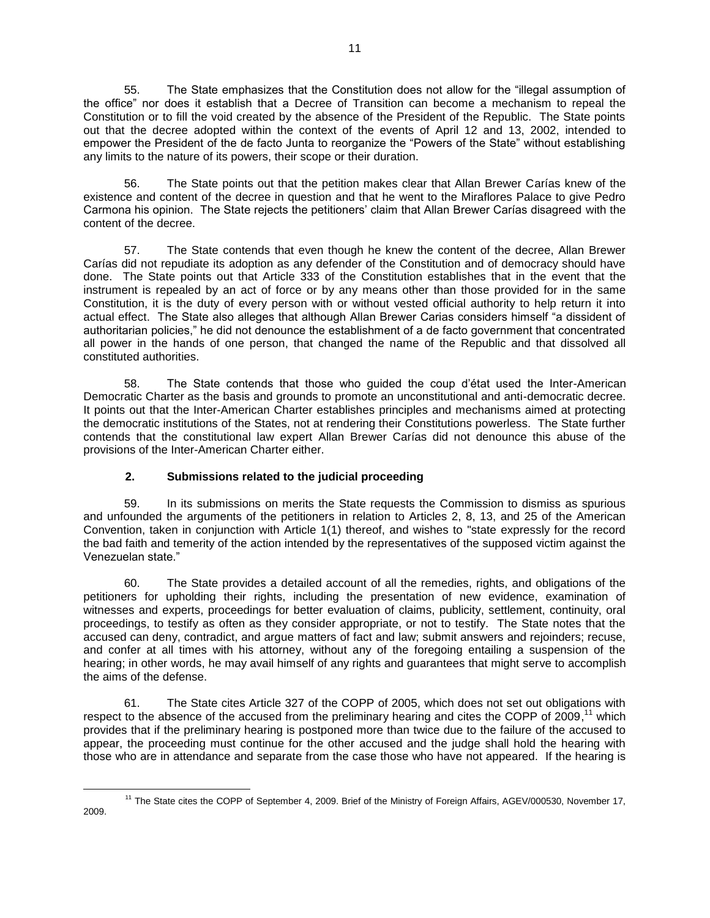55. The State emphasizes that the Constitution does not allow for the "illegal assumption of the office" nor does it establish that a Decree of Transition can become a mechanism to repeal the Constitution or to fill the void created by the absence of the President of the Republic. The State points out that the decree adopted within the context of the events of April 12 and 13, 2002, intended to empower the President of the de facto Junta to reorganize the "Powers of the State" without establishing any limits to the nature of its powers, their scope or their duration.

56. The State points out that the petition makes clear that Allan Brewer Carías knew of the existence and content of the decree in question and that he went to the Miraflores Palace to give Pedro Carmona his opinion. The State rejects the petitioners' claim that Allan Brewer Carías disagreed with the content of the decree.

57. The State contends that even though he knew the content of the decree, Allan Brewer Carías did not repudiate its adoption as any defender of the Constitution and of democracy should have done. The State points out that Article 333 of the Constitution establishes that in the event that the instrument is repealed by an act of force or by any means other than those provided for in the same Constitution, it is the duty of every person with or without vested official authority to help return it into actual effect. The State also alleges that although Allan Brewer Carias considers himself "a dissident of authoritarian policies," he did not denounce the establishment of a de facto government that concentrated all power in the hands of one person, that changed the name of the Republic and that dissolved all constituted authorities.

58. The State contends that those who guided the coup d'état used the Inter-American Democratic Charter as the basis and grounds to promote an unconstitutional and anti-democratic decree. It points out that the Inter-American Charter establishes principles and mechanisms aimed at protecting the democratic institutions of the States, not at rendering their Constitutions powerless. The State further contends that the constitutional law expert Allan Brewer Carías did not denounce this abuse of the provisions of the Inter-American Charter either.

# **2. Submissions related to the judicial proceeding**

 $\overline{a}$ 

59. In its submissions on merits the State requests the Commission to dismiss as spurious and unfounded the arguments of the petitioners in relation to Articles 2, 8, 13, and 25 of the American Convention, taken in conjunction with Article 1(1) thereof, and wishes to "state expressly for the record the bad faith and temerity of the action intended by the representatives of the supposed victim against the Venezuelan state."

60. The State provides a detailed account of all the remedies, rights, and obligations of the petitioners for upholding their rights, including the presentation of new evidence, examination of witnesses and experts, proceedings for better evaluation of claims, publicity, settlement, continuity, oral proceedings, to testify as often as they consider appropriate, or not to testify. The State notes that the accused can deny, contradict, and argue matters of fact and law; submit answers and rejoinders; recuse, and confer at all times with his attorney, without any of the foregoing entailing a suspension of the hearing; in other words, he may avail himself of any rights and guarantees that might serve to accomplish the aims of the defense.

61. The State cites Article 327 of the COPP of 2005, which does not set out obligations with respect to the absence of the accused from the preliminary hearing and cites the COPP of 2009,<sup>11</sup> which provides that if the preliminary hearing is postponed more than twice due to the failure of the accused to appear, the proceeding must continue for the other accused and the judge shall hold the hearing with those who are in attendance and separate from the case those who have not appeared. If the hearing is

<sup>&</sup>lt;sup>11</sup> The State cites the COPP of September 4, 2009. Brief of the Ministry of Foreign Affairs, AGEV/000530, November 17, 2009.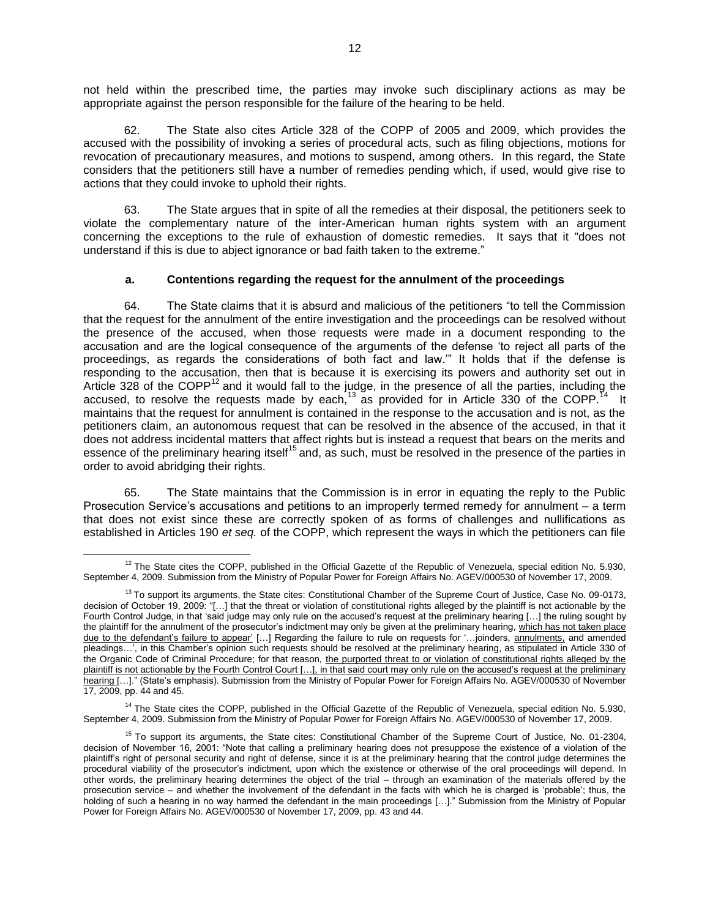not held within the prescribed time, the parties may invoke such disciplinary actions as may be appropriate against the person responsible for the failure of the hearing to be held.

62. The State also cites Article 328 of the COPP of 2005 and 2009, which provides the accused with the possibility of invoking a series of procedural acts, such as filing objections, motions for revocation of precautionary measures, and motions to suspend, among others. In this regard, the State considers that the petitioners still have a number of remedies pending which, if used, would give rise to actions that they could invoke to uphold their rights.

63. The State argues that in spite of all the remedies at their disposal, the petitioners seek to violate the complementary nature of the inter-American human rights system with an argument concerning the exceptions to the rule of exhaustion of domestic remedies. It says that it "does not understand if this is due to abject ignorance or bad faith taken to the extreme."

### **a. Contentions regarding the request for the annulment of the proceedings**

64. The State claims that it is absurd and malicious of the petitioners "to tell the Commission that the request for the annulment of the entire investigation and the proceedings can be resolved without the presence of the accused, when those requests were made in a document responding to the accusation and are the logical consequence of the arguments of the defense 'to reject all parts of the proceedings, as regards the considerations of both fact and law.'" It holds that if the defense is responding to the accusation, then that is because it is exercising its powers and authority set out in Article 328 of the COPP<sup>12</sup> and it would fall to the judge, in the presence of all the parties, including the accused, to resolve the requests made by each,<sup>13</sup> as provided for in Article 330 of the COPP.<sup>14</sup> It maintains that the request for annulment is contained in the response to the accusation and is not, as the petitioners claim, an autonomous request that can be resolved in the absence of the accused, in that it does not address incidental matters that affect rights but is instead a request that bears on the merits and essence of the preliminary hearing itself<sup>15</sup> and, as such, must be resolved in the presence of the parties in order to avoid abridging their rights.

65. The State maintains that the Commission is in error in equating the reply to the Public Prosecution Service's accusations and petitions to an improperly termed remedy for annulment – a term that does not exist since these are correctly spoken of as forms of challenges and nullifications as established in Articles 190 *et seq.* of the COPP, which represent the ways in which the petitioners can file

 $\overline{a}$ 

<sup>14</sup> The State cites the COPP, published in the Official Gazette of the Republic of Venezuela, special edition No. 5.930, September 4, 2009. Submission from the Ministry of Popular Power for Foreign Affairs No. AGEV/000530 of November 17, 2009.

 $12$  The State cites the COPP, published in the Official Gazette of the Republic of Venezuela, special edition No. 5.930, September 4, 2009. Submission from the Ministry of Popular Power for Foreign Affairs No. AGEV/000530 of November 17, 2009.

 $13$  To support its arguments, the State cites: Constitutional Chamber of the Supreme Court of Justice, Case No. 09-0173, decision of October 19, 2009: "[…] that the threat or violation of constitutional rights alleged by the plaintiff is not actionable by the Fourth Control Judge, in that 'said judge may only rule on the accused's request at the preliminary hearing […] the ruling sought by the plaintiff for the annulment of the prosecutor's indictment may only be given at the preliminary hearing, which has not taken place due to the defendant's failure to appear' [...] Regarding the failure to rule on requests for '...joinders, annulments, and amended pleadings…', in this Chamber's opinion such requests should be resolved at the preliminary hearing, as stipulated in Article 330 of the Organic Code of Criminal Procedure; for that reason, the purported threat to or violation of constitutional rights alleged by the plaintiff is not actionable by the Fourth Control Court [...], in that said court may only rule on the accused's request at the preliminary hearing […]." (State's emphasis). Submission from the Ministry of Popular Power for Foreign Affairs No. AGEV/000530 of November 17, 2009, pp. 44 and 45.

<sup>&</sup>lt;sup>15</sup> To support its arguments, the State cites: Constitutional Chamber of the Supreme Court of Justice, No. 01-2304, decision of November 16, 2001: "Note that calling a preliminary hearing does not presuppose the existence of a violation of the plaintiff's right of personal security and right of defense, since it is at the preliminary hearing that the control judge determines the procedural viability of the prosecutor's indictment, upon which the existence or otherwise of the oral proceedings will depend. In other words, the preliminary hearing determines the object of the trial – through an examination of the materials offered by the prosecution service – and whether the involvement of the defendant in the facts with which he is charged is 'probable'; thus, the holding of such a hearing in no way harmed the defendant in the main proceedings […]." Submission from the Ministry of Popular Power for Foreign Affairs No. AGEV/000530 of November 17, 2009, pp. 43 and 44.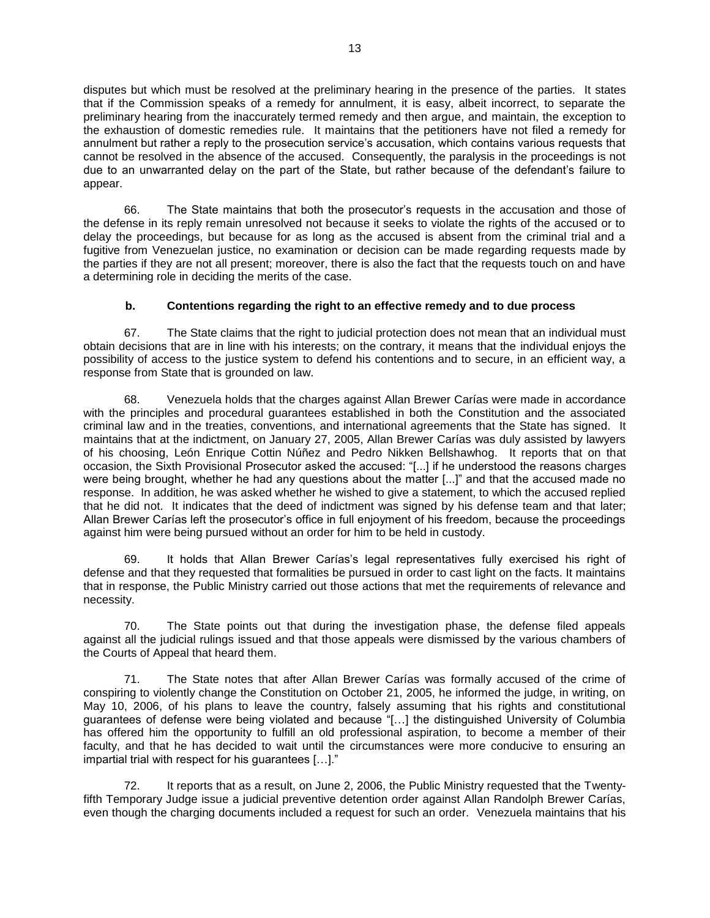disputes but which must be resolved at the preliminary hearing in the presence of the parties. It states that if the Commission speaks of a remedy for annulment, it is easy, albeit incorrect, to separate the preliminary hearing from the inaccurately termed remedy and then argue, and maintain, the exception to the exhaustion of domestic remedies rule. It maintains that the petitioners have not filed a remedy for annulment but rather a reply to the prosecution service's accusation, which contains various requests that cannot be resolved in the absence of the accused. Consequently, the paralysis in the proceedings is not due to an unwarranted delay on the part of the State, but rather because of the defendant's failure to appear.

66. The State maintains that both the prosecutor's requests in the accusation and those of the defense in its reply remain unresolved not because it seeks to violate the rights of the accused or to delay the proceedings, but because for as long as the accused is absent from the criminal trial and a fugitive from Venezuelan justice, no examination or decision can be made regarding requests made by the parties if they are not all present; moreover, there is also the fact that the requests touch on and have a determining role in deciding the merits of the case.

## **b. Contentions regarding the right to an effective remedy and to due process**

67. The State claims that the right to judicial protection does not mean that an individual must obtain decisions that are in line with his interests; on the contrary, it means that the individual enjoys the possibility of access to the justice system to defend his contentions and to secure, in an efficient way, a response from State that is grounded on law.

68. Venezuela holds that the charges against Allan Brewer Carías were made in accordance with the principles and procedural guarantees established in both the Constitution and the associated criminal law and in the treaties, conventions, and international agreements that the State has signed. It maintains that at the indictment, on January 27, 2005, Allan Brewer Carías was duly assisted by lawyers of his choosing, León Enrique Cottin Núñez and Pedro Nikken Bellshawhog. It reports that on that occasion, the Sixth Provisional Prosecutor asked the accused: "[...] if he understood the reasons charges were being brought, whether he had any questions about the matter [...]" and that the accused made no response. In addition, he was asked whether he wished to give a statement, to which the accused replied that he did not. It indicates that the deed of indictment was signed by his defense team and that later; Allan Brewer Carías left the prosecutor's office in full enjoyment of his freedom, because the proceedings against him were being pursued without an order for him to be held in custody.

69. It holds that Allan Brewer Carías's legal representatives fully exercised his right of defense and that they requested that formalities be pursued in order to cast light on the facts. It maintains that in response, the Public Ministry carried out those actions that met the requirements of relevance and necessity.

70. The State points out that during the investigation phase, the defense filed appeals against all the judicial rulings issued and that those appeals were dismissed by the various chambers of the Courts of Appeal that heard them.

71. The State notes that after Allan Brewer Carías was formally accused of the crime of conspiring to violently change the Constitution on October 21, 2005, he informed the judge, in writing, on May 10, 2006, of his plans to leave the country, falsely assuming that his rights and constitutional guarantees of defense were being violated and because "[…] the distinguished University of Columbia has offered him the opportunity to fulfill an old professional aspiration, to become a member of their faculty, and that he has decided to wait until the circumstances were more conducive to ensuring an impartial trial with respect for his guarantees […]."

72. It reports that as a result, on June 2, 2006, the Public Ministry requested that the Twentyfifth Temporary Judge issue a judicial preventive detention order against Allan Randolph Brewer Carías, even though the charging documents included a request for such an order. Venezuela maintains that his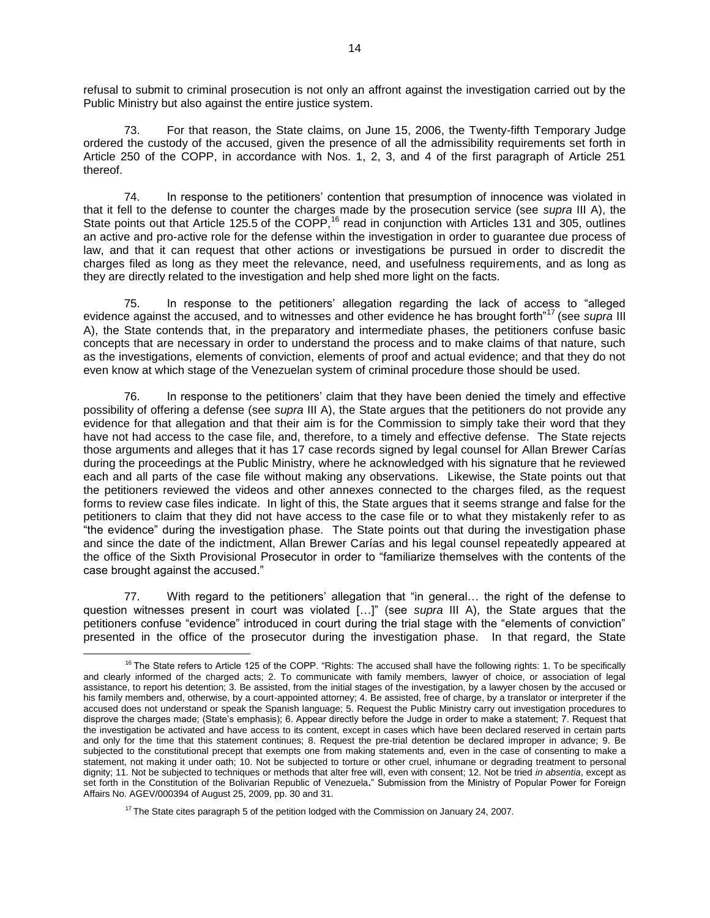refusal to submit to criminal prosecution is not only an affront against the investigation carried out by the Public Ministry but also against the entire justice system.

73. For that reason, the State claims, on June 15, 2006, the Twenty-fifth Temporary Judge ordered the custody of the accused, given the presence of all the admissibility requirements set forth in Article 250 of the COPP, in accordance with Nos. 1, 2, 3, and 4 of the first paragraph of Article 251 thereof.

74. In response to the petitioners' contention that presumption of innocence was violated in that it fell to the defense to counter the charges made by the prosecution service (see *supra* III A), the State points out that Article 125.5 of the COPP,<sup>16</sup> read in conjunction with Articles 131 and 305, outlines an active and pro-active role for the defense within the investigation in order to guarantee due process of law, and that it can request that other actions or investigations be pursued in order to discredit the charges filed as long as they meet the relevance, need, and usefulness requirements, and as long as they are directly related to the investigation and help shed more light on the facts.

75. In response to the petitioners' allegation regarding the lack of access to "alleged evidence against the accused, and to witnesses and other evidence he has brought forth"<sup>17</sup> (see *supra* III A), the State contends that, in the preparatory and intermediate phases, the petitioners confuse basic concepts that are necessary in order to understand the process and to make claims of that nature, such as the investigations, elements of conviction, elements of proof and actual evidence; and that they do not even know at which stage of the Venezuelan system of criminal procedure those should be used.

76. In response to the petitioners' claim that they have been denied the timely and effective possibility of offering a defense (see *supra* III A), the State argues that the petitioners do not provide any evidence for that allegation and that their aim is for the Commission to simply take their word that they have not had access to the case file, and, therefore, to a timely and effective defense. The State rejects those arguments and alleges that it has 17 case records signed by legal counsel for Allan Brewer Carías during the proceedings at the Public Ministry, where he acknowledged with his signature that he reviewed each and all parts of the case file without making any observations. Likewise, the State points out that the petitioners reviewed the videos and other annexes connected to the charges filed, as the request forms to review case files indicate. In light of this, the State argues that it seems strange and false for the petitioners to claim that they did not have access to the case file or to what they mistakenly refer to as "the evidence" during the investigation phase. The State points out that during the investigation phase and since the date of the indictment, Allan Brewer Carías and his legal counsel repeatedly appeared at the office of the Sixth Provisional Prosecutor in order to "familiarize themselves with the contents of the case brought against the accused."

77. With regard to the petitioners' allegation that "in general… the right of the defense to question witnesses present in court was violated […]" (see *supra* III A), the State argues that the petitioners confuse "evidence" introduced in court during the trial stage with the "elements of conviction" presented in the office of the prosecutor during the investigation phase. In that regard, the State

 $16$  The State refers to Article 125 of the COPP. "Rights: The accused shall have the following rights: 1. To be specifically and clearly informed of the charged acts; 2. To communicate with family members, lawyer of choice, or association of legal assistance, to report his detention; 3. Be assisted, from the initial stages of the investigation, by a lawyer chosen by the accused or his family members and, otherwise, by a court-appointed attorney; 4. Be assisted, free of charge, by a translator or interpreter if the accused does not understand or speak the Spanish language; 5. Request the Public Ministry carry out investigation procedures to disprove the charges made; (State's emphasis); 6. Appear directly before the Judge in order to make a statement; 7. Request that the investigation be activated and have access to its content, except in cases which have been declared reserved in certain parts and only for the time that this statement continues; 8. Request the pre-trial detention be declared improper in advance; 9. Be subjected to the constitutional precept that exempts one from making statements and, even in the case of consenting to make a statement, not making it under oath; 10. Not be subjected to torture or other cruel, inhumane or degrading treatment to personal dignity; 11. Not be subjected to techniques or methods that alter free will, even with consent; 12. Not be tried *in absentia*, except as set forth in the Constitution of the Bolivarian Republic of Venezuela**.**" Submission from the Ministry of Popular Power for Foreign Affairs No. AGEV/000394 of August 25, 2009, pp. 30 and 31.

 $17$  The State cites paragraph 5 of the petition lodged with the Commission on January 24, 2007.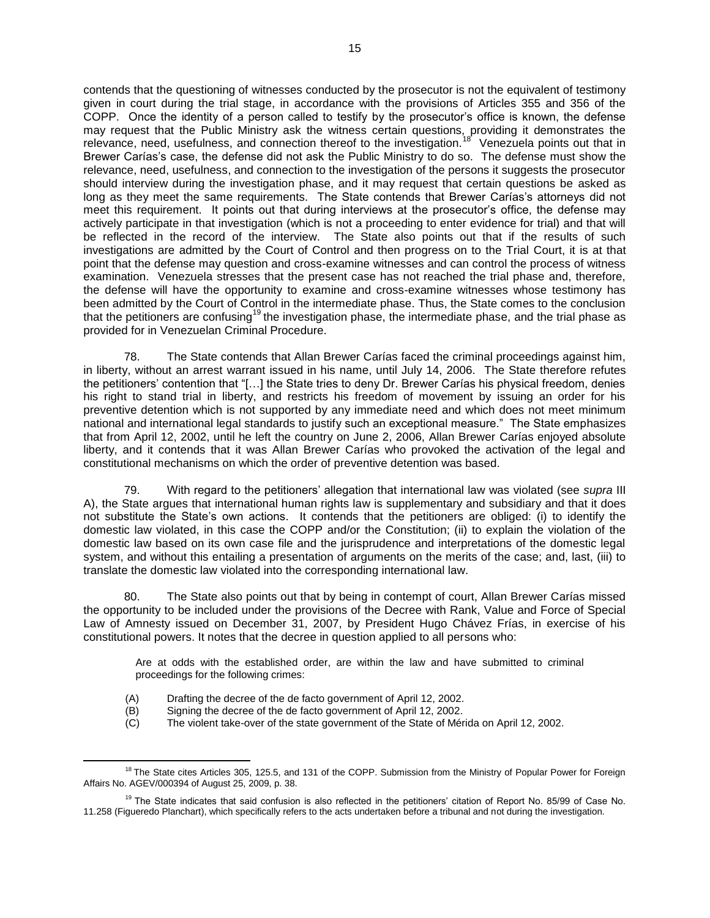contends that the questioning of witnesses conducted by the prosecutor is not the equivalent of testimony given in court during the trial stage, in accordance with the provisions of Articles 355 and 356 of the COPP. Once the identity of a person called to testify by the prosecutor's office is known, the defense may request that the Public Ministry ask the witness certain questions, providing it demonstrates the relevance, need, usefulness, and connection thereof to the investigation.<sup>18</sup> Venezuela points out that in Brewer Carías's case, the defense did not ask the Public Ministry to do so. The defense must show the relevance, need, usefulness, and connection to the investigation of the persons it suggests the prosecutor should interview during the investigation phase, and it may request that certain questions be asked as long as they meet the same requirements. The State contends that Brewer Carías's attorneys did not meet this requirement. It points out that during interviews at the prosecutor's office, the defense may actively participate in that investigation (which is not a proceeding to enter evidence for trial) and that will be reflected in the record of the interview. The State also points out that if the results of such investigations are admitted by the Court of Control and then progress on to the Trial Court, it is at that point that the defense may question and cross-examine witnesses and can control the process of witness examination. Venezuela stresses that the present case has not reached the trial phase and, therefore, the defense will have the opportunity to examine and cross-examine witnesses whose testimony has been admitted by the Court of Control in the intermediate phase. Thus, the State comes to the conclusion that the petitioners are confusing<sup>19</sup> the investigation phase, the intermediate phase, and the trial phase as provided for in Venezuelan Criminal Procedure.

78. The State contends that Allan Brewer Carías faced the criminal proceedings against him, in liberty, without an arrest warrant issued in his name, until July 14, 2006. The State therefore refutes the petitioners' contention that "[…] the State tries to deny Dr. Brewer Carías his physical freedom, denies his right to stand trial in liberty, and restricts his freedom of movement by issuing an order for his preventive detention which is not supported by any immediate need and which does not meet minimum national and international legal standards to justify such an exceptional measure." The State emphasizes that from April 12, 2002, until he left the country on June 2, 2006, Allan Brewer Carías enjoyed absolute liberty, and it contends that it was Allan Brewer Carías who provoked the activation of the legal and constitutional mechanisms on which the order of preventive detention was based.

79. With regard to the petitioners' allegation that international law was violated (see *supra* III A), the State argues that international human rights law is supplementary and subsidiary and that it does not substitute the State's own actions. It contends that the petitioners are obliged: (i) to identify the domestic law violated, in this case the COPP and/or the Constitution; (ii) to explain the violation of the domestic law based on its own case file and the jurisprudence and interpretations of the domestic legal system, and without this entailing a presentation of arguments on the merits of the case; and, last, (iii) to translate the domestic law violated into the corresponding international law.

80. The State also points out that by being in contempt of court, Allan Brewer Carías missed the opportunity to be included under the provisions of the Decree with Rank, Value and Force of Special Law of Amnesty issued on December 31, 2007, by President Hugo Chávez Frías, in exercise of his constitutional powers. It notes that the decree in question applied to all persons who:

Are at odds with the established order, are within the law and have submitted to criminal proceedings for the following crimes:

- (A) Drafting the decree of the de facto government of April 12, 2002.
- (B) Signing the decree of the de facto government of April 12, 2002.

 $\overline{a}$ 

(C) The violent take-over of the state government of the State of Mérida on April 12, 2002.

<sup>&</sup>lt;sup>18</sup> The State cites Articles 305, 125.5, and 131 of the COPP. Submission from the Ministry of Popular Power for Foreign Affairs No. AGEV/000394 of August 25, 2009, p. 38.

<sup>&</sup>lt;sup>19</sup> The State indicates that said confusion is also reflected in the petitioners' citation of Report No. 85/99 of Case No. 11.258 (Figueredo Planchart), which specifically refers to the acts undertaken before a tribunal and not during the investigation.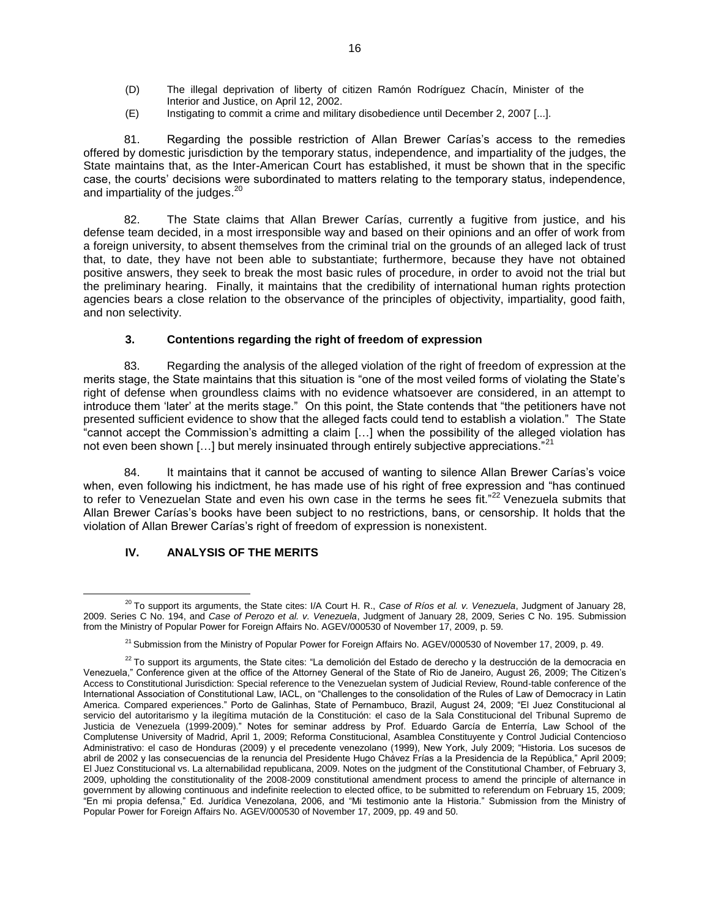- (D) The illegal deprivation of liberty of citizen Ramón Rodríguez Chacín, Minister of the Interior and Justice, on April 12, 2002.
- (E) Instigating to commit a crime and military disobedience until December 2, 2007 [...].

81. Regarding the possible restriction of Allan Brewer Carías's access to the remedies offered by domestic jurisdiction by the temporary status, independence, and impartiality of the judges, the State maintains that, as the Inter-American Court has established, it must be shown that in the specific case, the courts' decisions were subordinated to matters relating to the temporary status, independence, and impartiality of the judges.<sup>20</sup>

82. The State claims that Allan Brewer Carías, currently a fugitive from justice, and his defense team decided, in a most irresponsible way and based on their opinions and an offer of work from a foreign university, to absent themselves from the criminal trial on the grounds of an alleged lack of trust that, to date, they have not been able to substantiate; furthermore, because they have not obtained positive answers, they seek to break the most basic rules of procedure, in order to avoid not the trial but the preliminary hearing. Finally, it maintains that the credibility of international human rights protection agencies bears a close relation to the observance of the principles of objectivity, impartiality, good faith, and non selectivity.

### **3. Contentions regarding the right of freedom of expression**

83. Regarding the analysis of the alleged violation of the right of freedom of expression at the merits stage, the State maintains that this situation is "one of the most veiled forms of violating the State's right of defense when groundless claims with no evidence whatsoever are considered, in an attempt to introduce them 'later' at the merits stage." On this point, the State contends that "the petitioners have not presented sufficient evidence to show that the alleged facts could tend to establish a violation." The State "cannot accept the Commission's admitting a claim […] when the possibility of the alleged violation has not even been shown  $[...]$  but merely insinuated through entirely subjective appreciations.<sup>"21</sup>

84. It maintains that it cannot be accused of wanting to silence Allan Brewer Carías's voice when, even following his indictment, he has made use of his right of free expression and "has continued to refer to Venezuelan State and even his own case in the terms he sees fit."<sup>22</sup> Venezuela submits that Allan Brewer Carías's books have been subject to no restrictions, bans, or censorship. It holds that the violation of Allan Brewer Carías's right of freedom of expression is nonexistent.

# **IV. ANALYSIS OF THE MERITS**

<sup>20</sup> To support its arguments, the State cites: I/A Court H. R., *Case of Ríos et al. v. Venezuela*, Judgment of January 28, 2009. Series C No. 194, and *Case of Perozo et al. v. Venezuela*, Judgment of January 28, 2009, Series C No. 195. Submission from the Ministry of Popular Power for Foreign Affairs No. AGEV/000530 of November 17, 2009, p. 59.

<sup>&</sup>lt;sup>21</sup> Submission from the Ministry of Popular Power for Foreign Affairs No. AGEV/000530 of November 17, 2009, p. 49.

 $22$  To support its arguments, the State cites: "La demolición del Estado de derecho y la destrucción de la democracia en Venezuela," Conference given at the office of the Attorney General of the State of Rio de Janeiro, August 26, 2009; The Citizen's Access to Constitutional Jurisdiction: Special reference to the Venezuelan system of Judicial Review, Round-table conference of the International Association of Constitutional Law, IACL, on "Challenges to the consolidation of the Rules of Law of Democracy in Latin America. Compared experiences." Porto de Galinhas, State of Pernambuco, Brazil, August 24, 2009; "El Juez Constitucional al servicio del autoritarismo y la ilegítima mutación de la Constitución: el caso de la Sala Constitucional del Tribunal Supremo de Justicia de Venezuela (1999-2009)." Notes for seminar address by Prof. Eduardo García de Enterría, Law School of the Complutense University of Madrid, April 1, 2009; Reforma Constitucional, Asamblea Constituyente y Control Judicial Contencioso Administrativo: el caso de Honduras (2009) y el precedente venezolano (1999), New York, July 2009; "Historia. Los sucesos de abril de 2002 y las consecuencias de la renuncia del Presidente Hugo Chávez Frías a la Presidencia de la República," April 2009; El Juez Constitucional vs. La alternabilidad republicana, 2009. Notes on the judgment of the Constitutional Chamber, of February 3, 2009, upholding the constitutionality of the 2008-2009 constitutional amendment process to amend the principle of alternance in government by allowing continuous and indefinite reelection to elected office, to be submitted to referendum on February 15, 2009; "En mi propia defensa," Ed. Jurídica Venezolana, 2006, and "Mi testimonio ante la Historia." Submission from the Ministry of Popular Power for Foreign Affairs No. AGEV/000530 of November 17, 2009, pp. 49 and 50.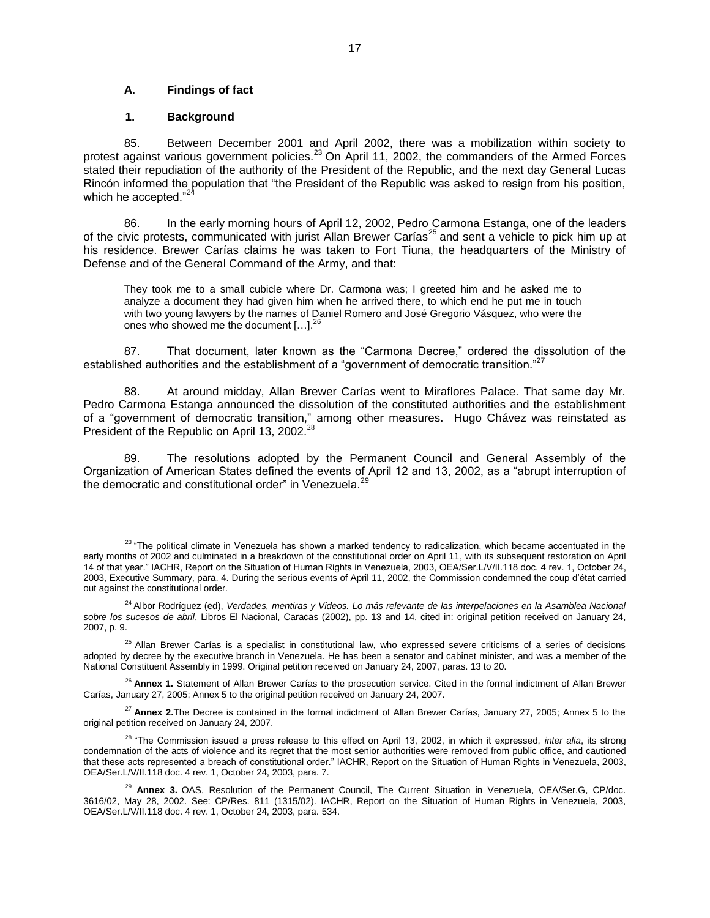## **A. Findings of fact**

#### **1. Background**

 $\overline{a}$ 

85. Between December 2001 and April 2002, there was a mobilization within society to protest against various government policies.<sup>23</sup> On April 11, 2002, the commanders of the Armed Forces stated their repudiation of the authority of the President of the Republic, and the next day General Lucas Rincón informed the population that "the President of the Republic was asked to resign from his position, which he accepted."

86. In the early morning hours of April 12, 2002, Pedro Carmona Estanga, one of the leaders of the civic protests, communicated with jurist Allan Brewer Carías<sup>25</sup> and sent a vehicle to pick him up at his residence. Brewer Carías claims he was taken to Fort Tiuna, the headquarters of the Ministry of Defense and of the General Command of the Army, and that:

They took me to a small cubicle where Dr. Carmona was; I greeted him and he asked me to analyze a document they had given him when he arrived there, to which end he put me in touch with two young lawyers by the names of Daniel Romero and José Gregorio Vásquez, who were the ones who showed me the document  $[...]^{26}$ 

87. That document, later known as the "Carmona Decree," ordered the dissolution of the established authorities and the establishment of a "government of democratic transition."<sup>27</sup>

88. At around midday, Allan Brewer Carías went to Miraflores Palace. That same day Mr. Pedro Carmona Estanga announced the dissolution of the constituted authorities and the establishment of a "government of democratic transition," among other measures. Hugo Chávez was reinstated as President of the Republic on April 13, 2002.<sup>2</sup>

89. The resolutions adopted by the Permanent Council and General Assembly of the Organization of American States defined the events of April 12 and 13, 2002, as a "abrupt interruption of the democratic and constitutional order" in Venezuela.<sup>29</sup>

<sup>&</sup>lt;sup>23</sup> "The political climate in Venezuela has shown a marked tendency to radicalization, which became accentuated in the early months of 2002 and culminated in a breakdown of the constitutional order on April 11, with its subsequent restoration on April 14 of that year." IACHR, Report on the Situation of Human Rights in Venezuela, 2003, OEA/Ser.L/V/II.118 doc. 4 rev. 1, October 24, 2003, Executive Summary, para. 4. During the serious events of April 11, 2002, the Commission condemned the coup d'état carried out against the constitutional order.

<sup>&</sup>lt;sup>24</sup> Albor Rodríguez (ed), *Verdades, mentiras y Videos. Lo más relevante de las interpelaciones en la Asamblea Nacional sobre los sucesos de abril*, Libros El Nacional, Caracas (2002), pp. 13 and 14, cited in: original petition received on January 24, 2007, p. 9.

<sup>&</sup>lt;sup>25</sup> Allan Brewer Carías is a specialist in constitutional law, who expressed severe criticisms of a series of decisions adopted by decree by the executive branch in Venezuela. He has been a senator and cabinet minister, and was a member of the National Constituent Assembly in 1999. Original petition received on January 24, 2007, paras. 13 to 20.

<sup>&</sup>lt;sup>26</sup> Annex 1. Statement of Allan Brewer Carías to the prosecution service. Cited in the formal indictment of Allan Brewer Carías, January 27, 2005; Annex 5 to the original petition received on January 24, 2007.

<sup>27</sup> **Annex 2.**The Decree is contained in the formal indictment of Allan Brewer Carías, January 27, 2005; Annex 5 to the original petition received on January 24, 2007.

<sup>28</sup> "The Commission issued a press release to this effect on April 13, 2002, in which it expressed, *inter alia*, its strong condemnation of the acts of violence and its regret that the most senior authorities were removed from public office, and cautioned that these acts represented a breach of constitutional order." IACHR, Report on the Situation of Human Rights in Venezuela, 2003, OEA/Ser.L/V/II.118 doc. 4 rev. 1, October 24, 2003, para. 7.

<sup>&</sup>lt;sup>29</sup> Annex 3. OAS, Resolution of the Permanent Council, The Current Situation in Venezuela, OEA/Ser.G, CP/doc. 3616/02, May 28, 2002. See: CP/Res. 811 (1315/02). IACHR, Report on the Situation of Human Rights in Venezuela, 2003, OEA/Ser.L/V/II.118 doc. 4 rev. 1, October 24, 2003, para. 534.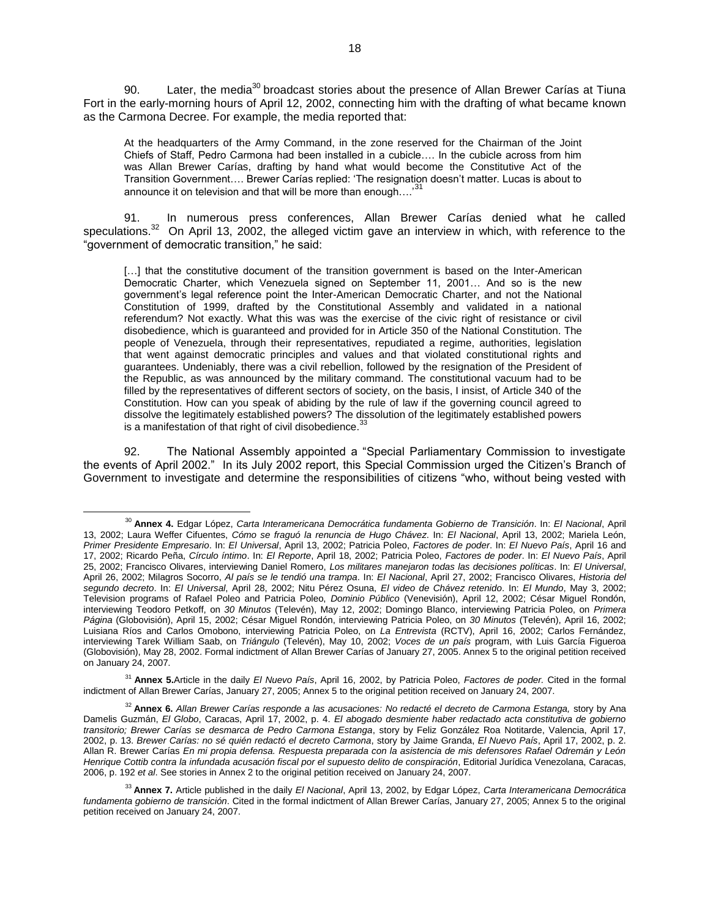90. Later, the media<sup>30</sup> broadcast stories about the presence of Allan Brewer Carías at Tiuna Fort in the early-morning hours of April 12, 2002, connecting him with the drafting of what became known as the Carmona Decree. For example, the media reported that:

At the headquarters of the Army Command, in the zone reserved for the Chairman of the Joint Chiefs of Staff, Pedro Carmona had been installed in a cubicle…. In the cubicle across from him was Allan Brewer Carías, drafting by hand what would become the Constitutive Act of the Transition Government…. Brewer Carías replied: 'The resignation doesn't matter. Lucas is about to announce it on television and that will be more than enough....<sup>3</sup>

91. In numerous press conferences, Allan Brewer Carías denied what he called speculations.<sup>32</sup> On April 13, 2002, the alleged victim gave an interview in which, with reference to the "government of democratic transition," he said:

[...] that the constitutive document of the transition government is based on the Inter-American Democratic Charter, which Venezuela signed on September 11, 2001… And so is the new government's legal reference point the Inter-American Democratic Charter, and not the National Constitution of 1999, drafted by the Constitutional Assembly and validated in a national referendum? Not exactly. What this was was the exercise of the civic right of resistance or civil disobedience, which is guaranteed and provided for in Article 350 of the National Constitution. The people of Venezuela, through their representatives, repudiated a regime, authorities, legislation that went against democratic principles and values and that violated constitutional rights and guarantees. Undeniably, there was a civil rebellion, followed by the resignation of the President of the Republic, as was announced by the military command. The constitutional vacuum had to be filled by the representatives of different sectors of society, on the basis, I insist, of Article 340 of the Constitution. How can you speak of abiding by the rule of law if the governing council agreed to dissolve the legitimately established powers? The dissolution of the legitimately established powers is a manifestation of that right of civil disobedience. $^{33}$ 

92. The National Assembly appointed a "Special Parliamentary Commission to investigate the events of April 2002." In its July 2002 report, this Special Commission urged the Citizen's Branch of Government to investigate and determine the responsibilities of citizens "who, without being vested with

 $\overline{a}$ 

<sup>31</sup> **Annex 5.**Article in the daily *El Nuevo País*, April 16, 2002, by Patricia Poleo, *Factores de poder.* Cited in the formal indictment of Allan Brewer Carías, January 27, 2005; Annex 5 to the original petition received on January 24, 2007.

<sup>30</sup> **Annex 4.** Edgar López, *Carta Interamericana Democrática fundamenta Gobierno de Transición*. In: *El Nacional*, April 13, 2002; Laura Weffer Cifuentes, *Cómo se fraguó la renuncia de Hugo Chávez*. In: *El Nacional*, April 13, 2002; Mariela León, *Primer Presidente Empresario*. In: *El Universal*, April 13, 2002; Patricia Poleo, *Factores de poder*. In: *El Nuevo País*, April 16 and 17, 2002; Ricardo Peña, *Círculo íntimo*. In: *El Reporte*, April 18, 2002; Patricia Poleo, *Factores de poder*. In: *El Nuevo País*, April 25, 2002; Francisco Olivares, interviewing Daniel Romero, *Los militares manejaron todas las decisiones políticas*. In: *El Universal*, April 26, 2002; Milagros Socorro, *Al país se le tendió una trampa*. In: *El Nacional*, April 27, 2002; Francisco Olivares, *Historia del segundo decreto*. In: *El Universal*, April 28, 2002; Nitu Pérez Osuna, *El video de Chávez retenido*. In: *El Mundo*, May 3, 2002; Television programs of Rafael Poleo and Patricia Poleo, *Dominio Público* (Venevisión), April 12, 2002; César Miguel Rondón, interviewing Teodoro Petkoff, on *30 Minutos* (Televén), May 12, 2002; Domingo Blanco, interviewing Patricia Poleo, on *Primera Página* (Globovisión), April 15, 2002; César Miguel Rondón, interviewing Patricia Poleo, on *30 Minutos* (Televén), April 16, 2002; Luisiana Ríos and Carlos Omobono, interviewing Patricia Poleo, on *La Entrevista* (RCTV), April 16, 2002; Carlos Fernández, interviewing Tarek William Saab, on *Triángulo* (Televén), May 10, 2002; *Voces de un país* program, with Luis García Figueroa (Globovisión), May 28, 2002. Formal indictment of Allan Brewer Carías of January 27, 2005. Annex 5 to the original petition received on January 24, 2007.

<sup>32</sup> **Annex 6.** *Allan Brewer Carías responde a las acusaciones: No redacté el decreto de Carmona Estanga,* story by Ana Damelis Guzmán, *El Globo*, Caracas, April 17, 2002, p. 4. *El abogado desmiente haber redactado acta constitutiva de gobierno transitorio; Brewer Carías se desmarca de Pedro Carmona Estanga*, story by Feliz González Roa Notitarde, Valencia, April 17, 2002, p. 13. *Brewer Carías: no sé quién redactó el decreto Carmona*, story by Jaime Granda, *El Nuevo País*, April 17, 2002, p. 2. Allan R. Brewer Carías *En mi propia defensa. Respuesta preparada con la asistencia de mis defensores Rafael Odremán y León Henrique Cottib contra la infundada acusación fiscal por el supuesto delito de conspiración*, Editorial Jurídica Venezolana, Caracas, 2006, p. 192 *et al*. See stories in Annex 2 to the original petition received on January 24, 2007.

<sup>33</sup> **Annex 7.** Article published in the daily *El Nacional*, April 13, 2002, by Edgar López, *Carta Interamericana Democrática fundamenta gobierno de transición*. Cited in the formal indictment of Allan Brewer Carías, January 27, 2005; Annex 5 to the original petition received on January 24, 2007.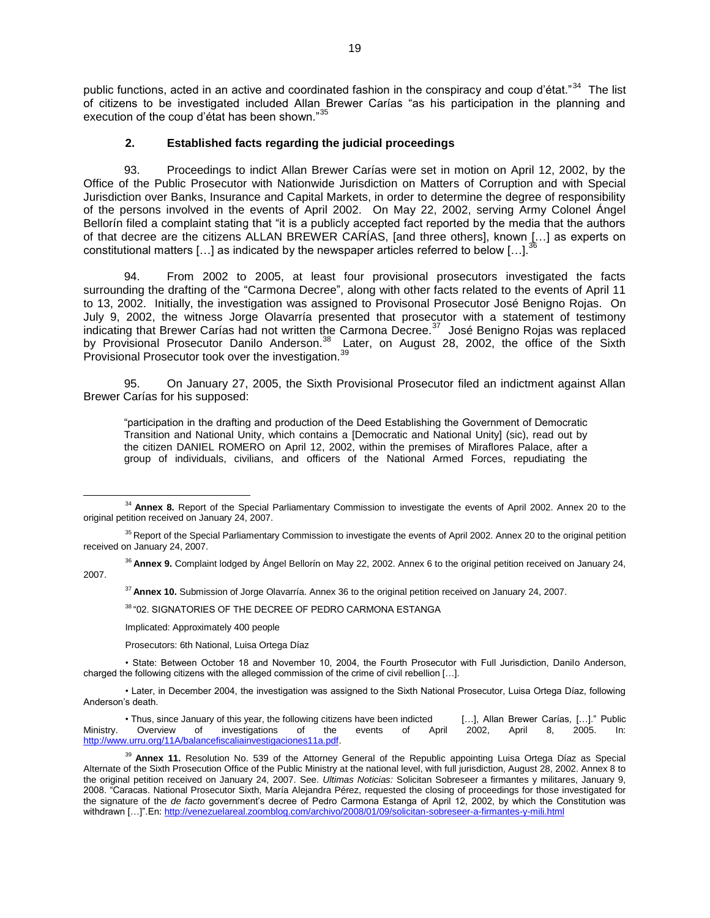public functions, acted in an active and coordinated fashion in the conspiracy and coup d'état."<sup>34</sup> The list of citizens to be investigated included Allan Brewer Carías "as his participation in the planning and execution of the coup d'état has been shown."35

## **2. Established facts regarding the judicial proceedings**

93. Proceedings to indict Allan Brewer Carías were set in motion on April 12, 2002, by the Office of the Public Prosecutor with Nationwide Jurisdiction on Matters of Corruption and with Special Jurisdiction over Banks, Insurance and Capital Markets, in order to determine the degree of responsibility of the persons involved in the events of April 2002. On May 22, 2002, serving Army Colonel Ángel Bellorín filed a complaint stating that "it is a publicly accepted fact reported by the media that the authors of that decree are the citizens ALLAN BREWER CARÍAS, [and three others], known […] as experts on constitutional matters [ $\dots$ ] as indicated by the newspaper articles referred to below [ $\dots$ ].<sup>36</sup>

94. From 2002 to 2005, at least four provisional prosecutors investigated the facts surrounding the drafting of the "Carmona Decree", along with other facts related to the events of April 11 to 13, 2002. Initially, the investigation was assigned to Provisonal Prosecutor José Benigno Rojas. On July 9, 2002, the witness Jorge Olavarría presented that prosecutor with a statement of testimony indicating that Brewer Carías had not written the Carmona Decree.<sup>37</sup> José Benigno Rojas was replaced by Provisional Prosecutor Danilo Anderson.<sup>38</sup> Later, on August 28, 2002, the office of the Sixth Provisional Prosecutor took over the investigation.<sup>3</sup>

95. On January 27, 2005, the Sixth Provisional Prosecutor filed an indictment against Allan Brewer Carías for his supposed:

"participation in the drafting and production of the Deed Establishing the Government of Democratic Transition and National Unity, which contains a [Democratic and National Unity] (sic), read out by the citizen DANIEL ROMERO on April 12, 2002, within the premises of Miraflores Palace, after a group of individuals, civilians, and officers of the National Armed Forces, repudiating the

<sup>37</sup> **Annex 10.** Submission of Jorge Olavarría. Annex 36 to the original petition received on January 24, 2007.

<sup>38</sup> "02. SIGNATORIES OF THE DECREE OF PEDRO CARMONA ESTANGA

Implicated: Approximately 400 people

Prosecutors: 6th National, Luisa Ortega Díaz

• State: Between October 18 and November 10, 2004, the Fourth Prosecutor with Full Jurisdiction, Danilo Anderson, charged the following citizens with the alleged commission of the crime of civil rebellion […].

• Later, in December 2004, the investigation was assigned to the Sixth National Prosecutor, Luisa Ortega Díaz, following Anderson's death.

• Thus, since January of this year, the following citizens have been indicted […], Allan Brewer Carías, […]." Public Ministry. Overview of investigations of the events of April 2002, April 8, 2005. In: [http://www.urru.org/11A/balancefiscaliainvestigaciones11a.pdf.](http://www.urru.org/11A/balancefiscaliainvestigaciones11a.pdf)

 $\overline{a}$ <sup>34</sup> Annex 8. Report of the Special Parliamentary Commission to investigate the events of April 2002. Annex 20 to the original petition received on January 24, 2007.

<sup>&</sup>lt;sup>35</sup> Report of the Special Parliamentary Commission to investigate the events of April 2002. Annex 20 to the original petition received on January 24, 2007.

<sup>36</sup> **Annex 9.** Complaint lodged by Ángel Bellorín on May 22, 2002. Annex 6 to the original petition received on January 24, 2007.

<sup>39</sup> **Annex 11.** Resolution No. 539 of the Attorney General of the Republic appointing Luisa Ortega Díaz as Special Alternate of the Sixth Prosecution Office of the Public Ministry at the national level, with full jurisdiction, August 28, 2002. Annex 8 to the original petition received on January 24, 2007. See. *Ultimas Noticias:* Solicitan Sobreseer a firmantes y militares, January 9, 2008. "Caracas. National Prosecutor Sixth, María Alejandra Pérez, requested the closing of proceedings for those investigated for the signature of the *de facto* government's decree of Pedro Carmona Estanga of April 12, 2002, by which the Constitution was withdrawn […]".En:<http://venezuelareal.zoomblog.com/archivo/2008/01/09/solicitan-sobreseer-a-firmantes-y-mili.html>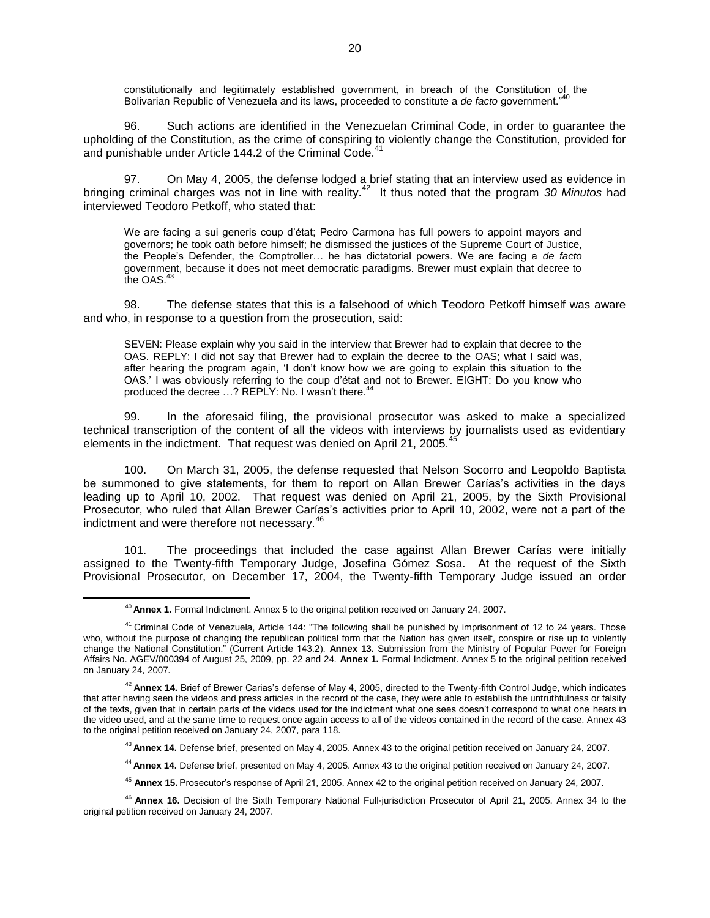constitutionally and legitimately established government, in breach of the Constitution of the Bolivarian Republic of Venezuela and its laws, proceeded to constitute a *de facto* government."<sup>40</sup>

96. Such actions are identified in the Venezuelan Criminal Code, in order to guarantee the upholding of the Constitution, as the crime of conspiring to violently change the Constitution, provided for and punishable under Article 144.2 of the Criminal Code.<sup>41</sup>

97. On May 4, 2005, the defense lodged a brief stating that an interview used as evidence in bringing criminal charges was not in line with reality.<sup>42</sup> It thus noted that the program *30 Minutos* had interviewed Teodoro Petkoff, who stated that:

We are facing a sui generis coup d'état; Pedro Carmona has full powers to appoint mayors and governors; he took oath before himself; he dismissed the justices of the Supreme Court of Justice, the People's Defender, the Comptroller… he has dictatorial powers. We are facing a *de facto* government, because it does not meet democratic paradigms. Brewer must explain that decree to the OAS.<sup>43</sup>

98. The defense states that this is a falsehood of which Teodoro Petkoff himself was aware and who, in response to a question from the prosecution, said:

SEVEN: Please explain why you said in the interview that Brewer had to explain that decree to the OAS. REPLY: I did not say that Brewer had to explain the decree to the OAS; what I said was, after hearing the program again, 'I don't know how we are going to explain this situation to the OAS.' I was obviously referring to the coup d'état and not to Brewer. EIGHT: Do you know who produced the decree ...? REPLY: No. I wasn't there.<sup>4</sup>

99. In the aforesaid filing, the provisional prosecutor was asked to make a specialized technical transcription of the content of all the videos with interviews by journalists used as evidentiary elements in the indictment. That request was denied on April 21, 2005.<sup>4</sup>

100. On March 31, 2005, the defense requested that Nelson Socorro and Leopoldo Baptista be summoned to give statements, for them to report on Allan Brewer Carías's activities in the days leading up to April 10, 2002. That request was denied on April 21, 2005, by the Sixth Provisional Prosecutor, who ruled that Allan Brewer Carías's activities prior to April 10, 2002, were not a part of the indictment and were therefore not necessary.<sup>46</sup>

101. The proceedings that included the case against Allan Brewer Carías were initially assigned to the Twenty-fifth Temporary Judge, Josefina Gómez Sosa. At the request of the Sixth Provisional Prosecutor, on December 17, 2004, the Twenty-fifth Temporary Judge issued an order

 $\overline{a}$ 

<sup>45</sup> **Annex 15.** Prosecutor's response of April 21, 2005. Annex 42 to the original petition received on January 24, 2007.

<sup>40</sup> **Annex 1.** Formal Indictment. Annex 5 to the original petition received on January 24, 2007.

<sup>&</sup>lt;sup>41</sup> Criminal Code of Venezuela, Article 144: "The following shall be punished by imprisonment of 12 to 24 years. Those who, without the purpose of changing the republican political form that the Nation has given itself, conspire or rise up to violently change the National Constitution." (Current Article 143.2). **Annex 13.** Submission from the Ministry of Popular Power for Foreign Affairs No. AGEV/000394 of August 25, 2009, pp. 22 and 24. **Annex 1.** Formal Indictment. Annex 5 to the original petition received on January 24, 2007.

<sup>42</sup> **Annex 14.** Brief of Brewer Carias's defense of May 4, 2005, directed to the Twenty-fifth Control Judge, which indicates that after having seen the videos and press articles in the record of the case, they were able to establish the untruthfulness or falsity of the texts, given that in certain parts of the videos used for the indictment what one sees doesn't correspond to what one hears in the video used, and at the same time to request once again access to all of the videos contained in the record of the case. Annex 43 to the original petition received on January 24, 2007, para 118.

<sup>43</sup> **Annex 14.** Defense brief, presented on May 4, 2005. Annex 43 to the original petition received on January 24, 2007.

<sup>44</sup> **Annex 14.** Defense brief, presented on May 4, 2005. Annex 43 to the original petition received on January 24, 2007.

<sup>46</sup> **Annex 16.** Decision of the Sixth Temporary National Full-jurisdiction Prosecutor of April 21, 2005. Annex 34 to the original petition received on January 24, 2007.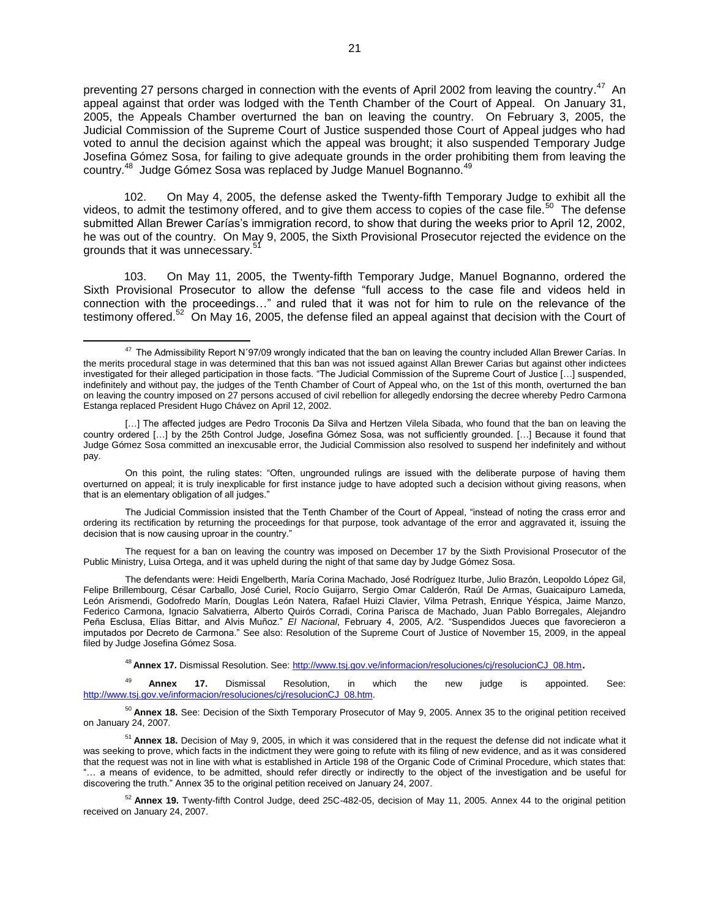preventing 27 persons charged in connection with the events of April 2002 from leaving the country.<sup>47</sup> An appeal against that order was lodged with the Tenth Chamber of the Court of Appeal. On January 31, 2005, the Appeals Chamber overturned the ban on leaving the country. On February 3, 2005, the Judicial Commission of the Supreme Court of Justice suspended those Court of Appeal judges who had voted to annul the decision against which the appeal was brought; it also suspended Temporary Judge Josefina Gómez Sosa, for failing to give adequate grounds in the order prohibiting them from leaving the country.<sup>48</sup> Judge Gómez Sosa was replaced by Judge Manuel Bognanno.<sup>49</sup>

102. On May 4, 2005, the defense asked the Twenty-fifth Temporary Judge to exhibit all the videos, to admit the testimony offered, and to give them access to copies of the case file.<sup>50</sup> The defense submitted Allan Brewer Carías's immigration record, to show that during the weeks prior to April 12, 2002, he was out of the country. On May 9, 2005, the Sixth Provisional Prosecutor rejected the evidence on the grounds that it was unnecessary.<sup>51</sup>

103. On May 11, 2005, the Twenty-fifth Temporary Judge, Manuel Bognanno, ordered the Sixth Provisional Prosecutor to allow the defense "full access to the case file and videos held in connection with the proceedings…" and ruled that it was not for him to rule on the relevance of the testimony offered.<sup>52</sup> On May 16, 2005, the defense filed an appeal against that decision with the Court of

The request for a ban on leaving the country was imposed on December 17 by the Sixth Provisional Prosecutor of the Public Ministry, Luisa Ortega, and it was upheld during the night of that same day by Judge Gómez Sosa.

<sup>48</sup> **Annex 17.** Dismissal Resolution. See[: http://www.tsj.gov.ve/informacion/resoluciones/cj/resolucionCJ\\_08.htm](http://www.tsj.gov.ve/informacion/resoluciones/cj/resolucionCJ_08.htm).

<sup>49</sup> **Annex 17.** Dismissal Resolution, in which the new judge is appointed. See: [http://www.tsj.gov.ve/informacion/resoluciones/cj/resolucionCJ\\_08.htm.](http://www.tsj.gov.ve/informacion/resoluciones/cj/resolucionCJ_08.htm)

<sup>50</sup> **Annex 18.** See: Decision of the Sixth Temporary Prosecutor of May 9, 2005. Annex 35 to the original petition received on January 24, 2007.

<sup>51</sup> **Annex 18.** Decision of May 9, 2005, in which it was considered that in the request the defense did not indicate what it was seeking to prove, which facts in the indictment they were going to refute with its filing of new evidence, and as it was considered that the request was not in line with what is established in Article 198 of the Organic Code of Criminal Procedure, which states that: "… a means of evidence, to be admitted, should refer directly or indirectly to the object of the investigation and be useful for discovering the truth." Annex 35 to the original petition received on January 24, 2007.

<sup>52</sup> **Annex 19.** Twenty-fifth Control Judge, deed 25C-482-05, decision of May 11, 2005. Annex 44 to the original petition received on January 24, 2007.

 $\overline{a}$ <sup>47</sup> The Admissibility Report N°97/09 wrongly indicated that the ban on leaving the country included Allan Brewer Carías. In the merits procedural stage in was determined that this ban was not issued against Allan Brewer Carias but against other indictees investigated for their alleged participation in those facts. "The Judicial Commission of the Supreme Court of Justice […] suspended, indefinitely and without pay, the judges of the Tenth Chamber of Court of Appeal who, on the 1st of this month, overturned the ban on leaving the country imposed on 27 persons accused of civil rebellion for allegedly endorsing the decree whereby Pedro Carmona Estanga replaced President Hugo Chávez on April 12, 2002.

<sup>[...]</sup> The affected judges are Pedro Troconis Da Silva and Hertzen Vilela Sibada, who found that the ban on leaving the country ordered […] by the 25th Control Judge, Josefina Gómez Sosa, was not sufficiently grounded. […] Because it found that Judge Gómez Sosa committed an inexcusable error, the Judicial Commission also resolved to suspend her indefinitely and without pay.

On this point, the ruling states: "Often, ungrounded rulings are issued with the deliberate purpose of having them overturned on appeal; it is truly inexplicable for first instance judge to have adopted such a decision without giving reasons, when that is an elementary obligation of all judges."

The Judicial Commission insisted that the Tenth Chamber of the Court of Appeal, "instead of noting the crass error and ordering its rectification by returning the proceedings for that purpose, took advantage of the error and aggravated it, issuing the decision that is now causing uproar in the country."

The defendants were: Heidi Engelberth, María Corina Machado, José Rodríguez Iturbe, Julio Brazón, Leopoldo López Gil, Felipe Brillembourg, César Carballo, José Curiel, Rocío Guijarro, Sergio Omar Calderón, Raúl De Armas, Guaicaipuro Lameda, León Arismendi, Godofredo Marín, Douglas León Natera, Rafael Huizi Clavier, Vilma Petrash, Enrique Yéspica, Jaime Manzo, Federico Carmona, Ignacio Salvatierra, Alberto Quirós Corradi, Corina Parisca de Machado, Juan Pablo Borregales, Alejandro Peña Esclusa, Elías Bittar, and Alvis Muñoz." *El Nacional*, February 4, 2005, A/2. "Suspendidos Jueces que favorecieron a imputados por Decreto de Carmona." See also: Resolution of the Supreme Court of Justice of November 15, 2009, in the appeal filed by Judge Josefina Gómez Sosa.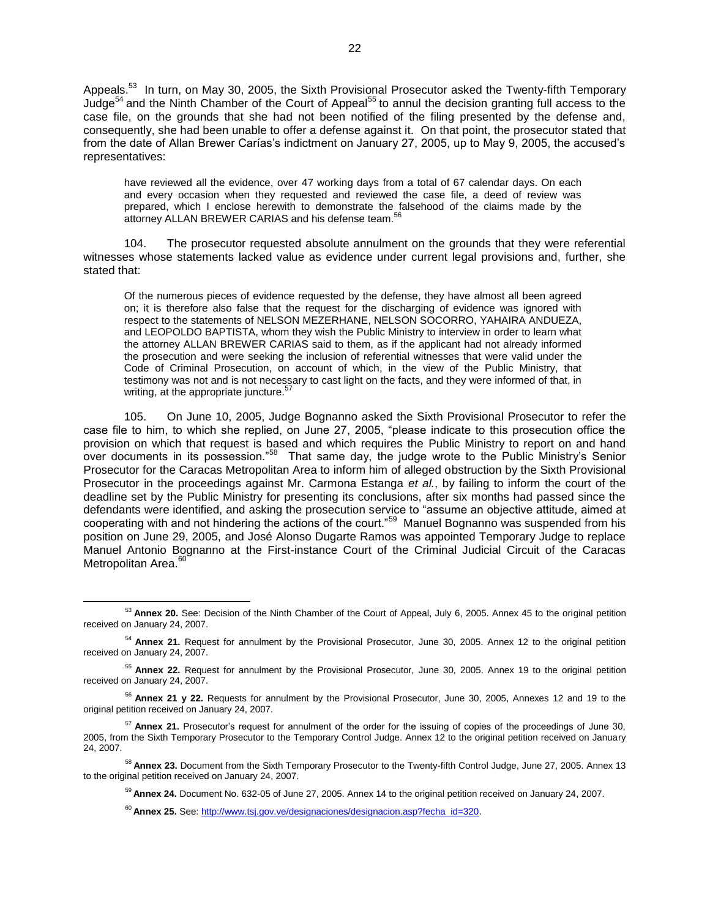Appeals.<sup>53</sup> In turn, on May 30, 2005, the Sixth Provisional Prosecutor asked the Twenty-fifth Temporary Judge<sup>54</sup> and the Ninth Chamber of the Court of Appeal<sup>55</sup> to annul the decision granting full access to the case file, on the grounds that she had not been notified of the filing presented by the defense and, consequently, she had been unable to offer a defense against it. On that point, the prosecutor stated that from the date of Allan Brewer Carías's indictment on January 27, 2005, up to May 9, 2005, the accused's representatives:

have reviewed all the evidence, over 47 working days from a total of 67 calendar days. On each and every occasion when they requested and reviewed the case file, a deed of review was prepared, which I enclose herewith to demonstrate the falsehood of the claims made by the attorney ALLAN BREWER CARIAS and his defense team.<sup>56</sup>

104. The prosecutor requested absolute annulment on the grounds that they were referential witnesses whose statements lacked value as evidence under current legal provisions and, further, she stated that:

Of the numerous pieces of evidence requested by the defense, they have almost all been agreed on; it is therefore also false that the request for the discharging of evidence was ignored with respect to the statements of NELSON MEZERHANE, NELSON SOCORRO, YAHAIRA ANDUEZA, and LEOPOLDO BAPTISTA, whom they wish the Public Ministry to interview in order to learn what the attorney ALLAN BREWER CARIAS said to them, as if the applicant had not already informed the prosecution and were seeking the inclusion of referential witnesses that were valid under the Code of Criminal Prosecution, on account of which, in the view of the Public Ministry, that testimony was not and is not necessary to cast light on the facts, and they were informed of that, in writing, at the appropriate juncture.<sup>5</sup>

105. On June 10, 2005, Judge Bognanno asked the Sixth Provisional Prosecutor to refer the case file to him, to which she replied, on June 27, 2005, "please indicate to this prosecution office the provision on which that request is based and which requires the Public Ministry to report on and hand over documents in its possession."<sup>58</sup> That same day, the judge wrote to the Public Ministry's Senior Prosecutor for the Caracas Metropolitan Area to inform him of alleged obstruction by the Sixth Provisional Prosecutor in the proceedings against Mr. Carmona Estanga *et al.*, by failing to inform the court of the deadline set by the Public Ministry for presenting its conclusions, after six months had passed since the defendants were identified, and asking the prosecution service to "assume an objective attitude, aimed at cooperating with and not hindering the actions of the court."<sup>59</sup> Manuel Bognanno was suspended from his position on June 29, 2005, and José Alonso Dugarte Ramos was appointed Temporary Judge to replace Manuel Antonio Bognanno at the First-instance Court of the Criminal Judicial Circuit of the Caracas Metropolitan Area.<sup>60</sup>

<sup>53</sup> **Annex 20.** See: Decision of the Ninth Chamber of the Court of Appeal, July 6, 2005. Annex 45 to the original petition received on January 24, 2007.

<sup>54</sup> **Annex 21.** Request for annulment by the Provisional Prosecutor, June 30, 2005. Annex 12 to the original petition received on January 24, 2007.

<sup>55</sup> **Annex 22.** Request for annulment by the Provisional Prosecutor, June 30, 2005. Annex 19 to the original petition received on January 24, 2007.

<sup>56</sup> **Annex 21 y 22.** Requests for annulment by the Provisional Prosecutor, June 30, 2005, Annexes 12 and 19 to the original petition received on January 24, 2007.

<sup>57</sup> **Annex 21.** Prosecutor's request for annulment of the order for the issuing of copies of the proceedings of June 30, 2005, from the Sixth Temporary Prosecutor to the Temporary Control Judge. Annex 12 to the original petition received on January 24, 2007.

<sup>58</sup> **Annex 23.** Document from the Sixth Temporary Prosecutor to the Twenty-fifth Control Judge, June 27, 2005. Annex 13 to the original petition received on January 24, 2007.

<sup>59</sup> **Annex 24.** Document No. 632-05 of June 27, 2005. Annex 14 to the original petition received on January 24, 2007.

<sup>60</sup> **Annex 25.** See[: http://www.tsj.gov.ve/designaciones/designacion.asp?fecha\\_id=320.](http://www.tsj.gov.ve/designaciones/designacion.asp?fecha_id=320)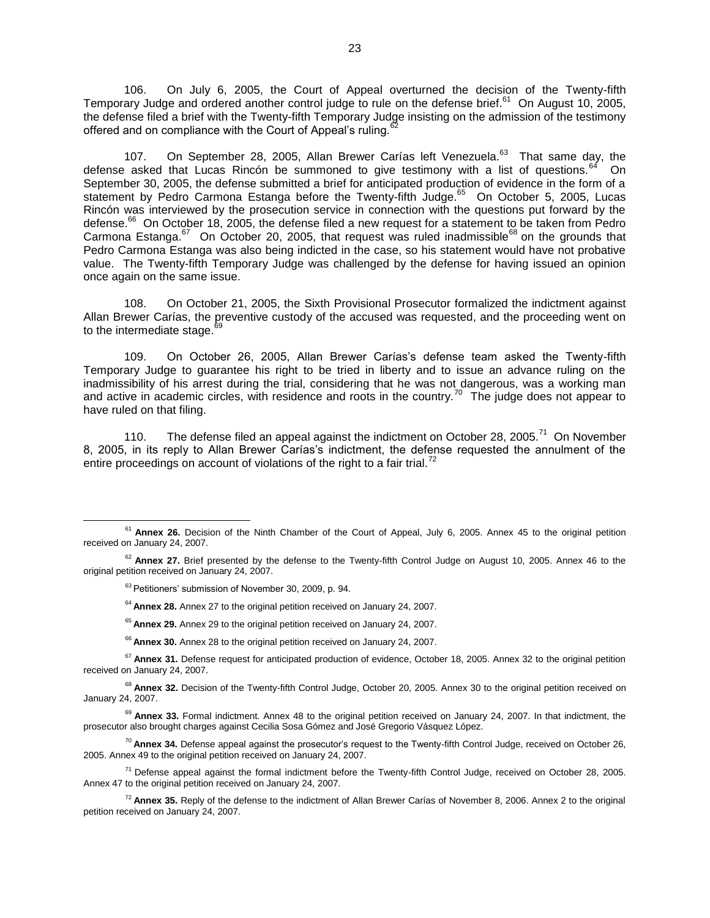106. On July 6, 2005, the Court of Appeal overturned the decision of the Twenty-fifth Temporary Judge and ordered another control judge to rule on the defense brief.<sup>61</sup> On August 10, 2005, the defense filed a brief with the Twenty-fifth Temporary Judge insisting on the admission of the testimony offered and on compliance with the Court of Appeal's ruling.

107. On September 28, 2005, Allan Brewer Carías left Venezuela.<sup>63</sup> That same day, the defense asked that Lucas Rincón be summoned to give testimony with a list of questions. $^{64}$  On September 30, 2005, the defense submitted a brief for anticipated production of evidence in the form of a statement by Pedro Carmona Estanga before the Twenty-fifth Judge.<sup>65</sup> On October 5, 2005, Lucas Rincón was interviewed by the prosecution service in connection with the questions put forward by the defense.<sup>66</sup> On October 18, 2005, the defense filed a new request for a statement to be taken from Pedro Carmona Estanga. $^{67}$  On October 20, 2005, that request was ruled inadmissible<sup>68</sup> on the grounds that Pedro Carmona Estanga was also being indicted in the case, so his statement would have not probative value. The Twenty-fifth Temporary Judge was challenged by the defense for having issued an opinion once again on the same issue.

108. On October 21, 2005, the Sixth Provisional Prosecutor formalized the indictment against Allan Brewer Carías, the preventive custody of the accused was requested, and the proceeding went on to the intermediate stage.<sup>69</sup>

109. On October 26, 2005, Allan Brewer Carías's defense team asked the Twenty-fifth Temporary Judge to guarantee his right to be tried in liberty and to issue an advance ruling on the inadmissibility of his arrest during the trial, considering that he was not dangerous, was a working man and active in academic circles, with residence and roots in the country.<sup>70</sup> The judge does not appear to have ruled on that filing.

110. The defense filed an appeal against the indictment on October 28, 2005.<sup>71</sup> On November 8, 2005, in its reply to Allan Brewer Carías's indictment, the defense requested the annulment of the entire proceedings on account of violations of the right to a fair trial.<sup>72</sup>

 $\overline{a}$ 

<sup>64</sup> **Annex 28.** Annex 27 to the original petition received on January 24, 2007.

<sup>65</sup> **Annex 29.** Annex 29 to the original petition received on January 24, 2007.

<sup>66</sup> **Annex 30.** Annex 28 to the original petition received on January 24, 2007.

<sup>67</sup> Annex 31. Defense request for anticipated production of evidence, October 18, 2005. Annex 32 to the original petition received on January 24, 2007.

<sup>68</sup> Annex 32. Decision of the Twenty-fifth Control Judge, October 20, 2005. Annex 30 to the original petition received on January 24, 2007.

<sup>69</sup> Annex 33. Formal indictment. Annex 48 to the original petition received on January 24, 2007. In that indictment, the prosecutor also brought charges against Cecilia Sosa Gómez and José Gregorio Vásquez López.

<sup>70</sup> **Annex 34.** Defense appeal against the prosecutor's request to the Twenty-fifth Control Judge, received on October 26, 2005. Annex 49 to the original petition received on January 24, 2007.

 $71$  Defense appeal against the formal indictment before the Twenty-fifth Control Judge, received on October 28, 2005. Annex 47 to the original petition received on January 24, 2007.

<sup>72</sup> **Annex 35.** Reply of the defense to the indictment of Allan Brewer Carías of November 8, 2006. Annex 2 to the original petition received on January 24, 2007.

<sup>&</sup>lt;sup>61</sup> **Annex 26.** Decision of the Ninth Chamber of the Court of Appeal, July 6, 2005. Annex 45 to the original petition received on January 24, 2007.

<sup>&</sup>lt;sup>62</sup> Annex 27. Brief presented by the defense to the Twenty-fifth Control Judge on August 10, 2005. Annex 46 to the original petition received on January 24, 2007.

<sup>&</sup>lt;sup>63</sup> Petitioners' submission of November 30, 2009, p. 94.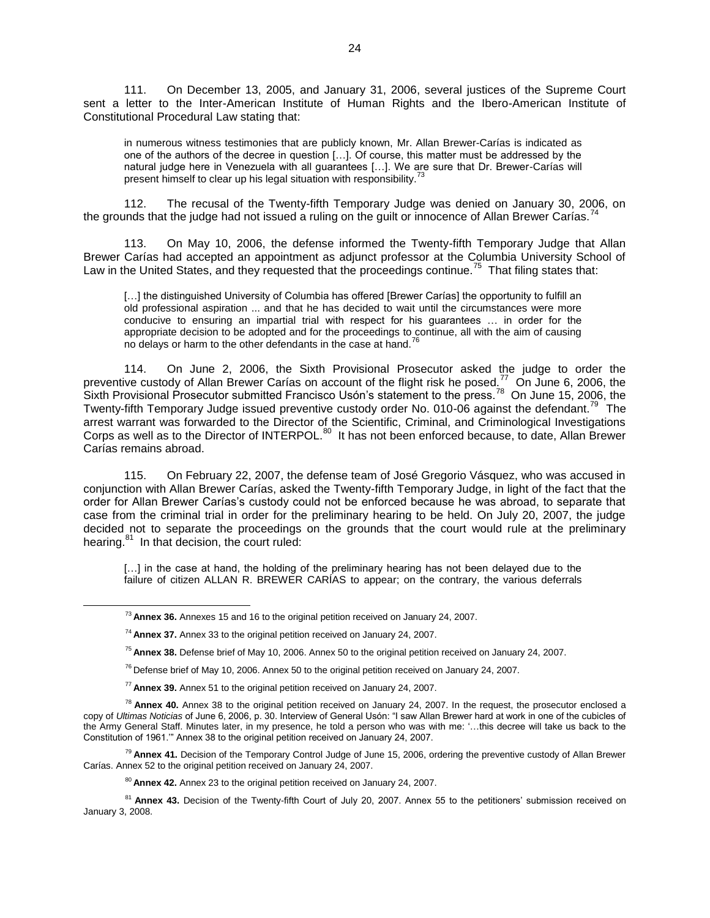111. On December 13, 2005, and January 31, 2006, several justices of the Supreme Court sent a letter to the Inter-American Institute of Human Rights and the Ibero-American Institute of Constitutional Procedural Law stating that:

in numerous witness testimonies that are publicly known, Mr. Allan Brewer-Carías is indicated as one of the authors of the decree in question […]. Of course, this matter must be addressed by the natural judge here in Venezuela with all guarantees […]. We are sure that Dr. Brewer-Carías will present himself to clear up his legal situation with responsibility.<sup>7</sup>

112. The recusal of the Twenty-fifth Temporary Judge was denied on January 30, 2006, on the grounds that the judge had not issued a ruling on the guilt or innocence of Allan Brewer Carías.

113. On May 10, 2006, the defense informed the Twenty-fifth Temporary Judge that Allan Brewer Carías had accepted an appointment as adjunct professor at the Columbia University School of Law in the United States, and they requested that the proceedings continue.<sup>75</sup> That filing states that:

[...] the distinguished University of Columbia has offered [Brewer Carías] the opportunity to fulfill an old professional aspiration ... and that he has decided to wait until the circumstances were more conducive to ensuring an impartial trial with respect for his guarantees … in order for the appropriate decision to be adopted and for the proceedings to continue, all with the aim of causing no delays or harm to the other defendants in the case at hand.<sup>76</sup>

114. On June 2, 2006, the Sixth Provisional Prosecutor asked the judge to order the preventive custody of Allan Brewer Carías on account of the flight risk he posed.<sup>77</sup> On June 6, 2006, the Sixth Provisional Prosecutor submitted Francisco Usón's statement to the press.<sup>78</sup> On June 15, 2006, the Twenty-fifth Temporary Judge issued preventive custody order No. 010-06 against the defendant.<sup>79</sup> The arrest warrant was forwarded to the Director of the Scientific, Criminal, and Criminological Investigations Corps as well as to the Director of INTERPOL.<sup>80</sup> It has not been enforced because, to date, Allan Brewer Carías remains abroad.

115. On February 22, 2007, the defense team of José Gregorio Vásquez, who was accused in conjunction with Allan Brewer Carías, asked the Twenty-fifth Temporary Judge, in light of the fact that the order for Allan Brewer Carías's custody could not be enforced because he was abroad, to separate that case from the criminal trial in order for the preliminary hearing to be held. On July 20, 2007, the judge decided not to separate the proceedings on the grounds that the court would rule at the preliminary hearing.<sup>81</sup> In that decision, the court ruled:

[...] in the case at hand, the holding of the preliminary hearing has not been delayed due to the failure of citizen ALLAN R. BREWER CARÍAS to appear; on the contrary, the various deferrals

<sup>73</sup> **Annex 36.** Annexes 15 and 16 to the original petition received on January 24, 2007.

<sup>74</sup> **Annex 37.** Annex 33 to the original petition received on January 24, 2007.

<sup>75</sup> **Annex 38.** Defense brief of May 10, 2006. Annex 50 to the original petition received on January 24, 2007.

 $76$  Defense brief of May 10, 2006. Annex 50 to the original petition received on January 24, 2007.

<sup>77</sup> **Annex 39.** Annex 51 to the original petition received on January 24, 2007.

<sup>78</sup> **Annex 40.** Annex 38 to the original petition received on January 24, 2007. In the request, the prosecutor enclosed a copy of *Ultimas Noticias* of June 6, 2006, p. 30. Interview of General Usón: "I saw Allan Brewer hard at work in one of the cubicles of the Army General Staff. Minutes later, in my presence, he told a person who was with me: '…this decree will take us back to the Constitution of 1961.'" Annex 38 to the original petition received on January 24, 2007.

<sup>79</sup> **Annex 41.** Decision of the Temporary Control Judge of June 15, 2006, ordering the preventive custody of Allan Brewer Carías. Annex 52 to the original petition received on January 24, 2007.

<sup>80</sup> **Annex 42.** Annex 23 to the original petition received on January 24, 2007.

<sup>&</sup>lt;sup>81</sup> Annex 43. Decision of the Twenty-fifth Court of July 20, 2007. Annex 55 to the petitioners' submission received on January 3, 2008.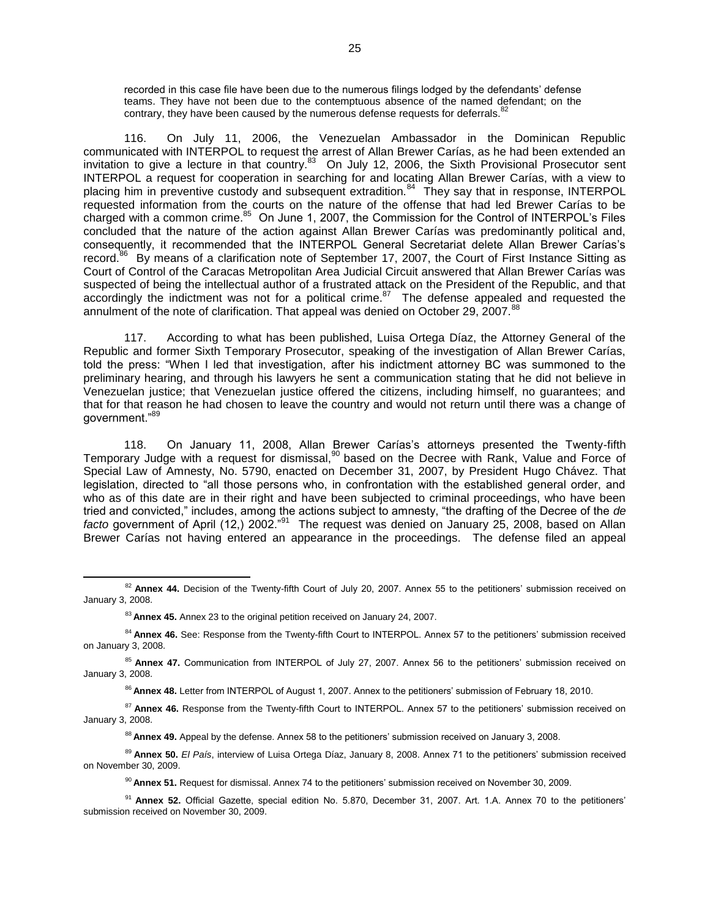recorded in this case file have been due to the numerous filings lodged by the defendants' defense teams. They have not been due to the contemptuous absence of the named defendant; on the contrary, they have been caused by the numerous defense requests for deferrals.<sup>82</sup>

116. On July 11, 2006, the Venezuelan Ambassador in the Dominican Republic communicated with INTERPOL to request the arrest of Allan Brewer Carías, as he had been extended an invitation to give a lecture in that country.<sup>83</sup> On July 12, 2006, the Sixth Provisional Prosecutor sent INTERPOL a request for cooperation in searching for and locating Allan Brewer Carías, with a view to placing him in preventive custody and subsequent extradition.<sup>84</sup> They say that in response, INTERPOL requested information from the courts on the nature of the offense that had led Brewer Carías to be charged with a common crime.<sup>85</sup> On June 1, 2007, the Commission for the Control of INTERPOL's Files concluded that the nature of the action against Allan Brewer Carías was predominantly political and, consequently, it recommended that the INTERPOL General Secretariat delete Allan Brewer Carías's record.<sup>86</sup> By means of a clarification note of September 17, 2007, the Court of First Instance Sitting as Court of Control of the Caracas Metropolitan Area Judicial Circuit answered that Allan Brewer Carías was suspected of being the intellectual author of a frustrated attack on the President of the Republic, and that accordingly the indictment was not for a political crime. $87$  The defense appealed and requested the annulment of the note of clarification. That appeal was denied on October 29, 2007.<sup>88</sup>

117. According to what has been published, Luisa Ortega Díaz, the Attorney General of the Republic and former Sixth Temporary Prosecutor, speaking of the investigation of Allan Brewer Carías, told the press: "When I led that investigation, after his indictment attorney BC was summoned to the preliminary hearing, and through his lawyers he sent a communication stating that he did not believe in Venezuelan justice; that Venezuelan justice offered the citizens, including himself, no guarantees; and that for that reason he had chosen to leave the country and would not return until there was a change of government."<sup>89</sup>

118. On January 11, 2008, Allan Brewer Carías's attorneys presented the Twenty-fifth Temporary Judge with a request for dismissal,<sup>90</sup> based on the Decree with Rank, Value and Force of Special Law of Amnesty, No. 5790, enacted on December 31, 2007, by President Hugo Chávez. That legislation, directed to "all those persons who, in confrontation with the established general order, and who as of this date are in their right and have been subjected to criminal proceedings, who have been tried and convicted," includes, among the actions subject to amnesty, "the drafting of the Decree of the *de facto* government of April (12,) 2002."<sup>91</sup> The request was denied on January 25, 2008, based on Allan Brewer Carías not having entered an appearance in the proceedings. The defense filed an appeal

<sup>&</sup>lt;sup>82</sup> Annex 44. Decision of the Twenty-fifth Court of July 20, 2007. Annex 55 to the petitioners' submission received on January 3, 2008.

<sup>83</sup> **Annex 45.** Annex 23 to the original petition received on January 24, 2007.

<sup>&</sup>lt;sup>84</sup> Annex 46. See: Response from the Twenty-fifth Court to INTERPOL. Annex 57 to the petitioners' submission received on January 3, 2008.

<sup>85</sup> **Annex 47.** Communication from INTERPOL of July 27, 2007. Annex 56 to the petitioners' submission received on January 3, 2008.

<sup>86</sup> **Annex 48.** Letter from INTERPOL of August 1, 2007. Annex to the petitioners' submission of February 18, 2010.

<sup>&</sup>lt;sup>87</sup> Annex 46. Response from the Twenty-fifth Court to INTERPOL. Annex 57 to the petitioners' submission received on January 3, 2008.

<sup>&</sup>lt;sup>88</sup> **Annex 49.** Appeal by the defense. Annex 58 to the petitioners' submission received on January 3, 2008.

<sup>89</sup> **Annex 50.** *El País*, interview of Luisa Ortega Díaz, January 8, 2008. Annex 71 to the petitioners' submission received on November 30, 2009.

<sup>90</sup> **Annex 51.** Request for dismissal. Annex 74 to the petitioners' submission received on November 30, 2009.

<sup>91</sup> **Annex 52.** Official Gazette, special edition No. 5.870, December 31, 2007. Art. 1.A. Annex 70 to the petitioners' submission received on November 30, 2009.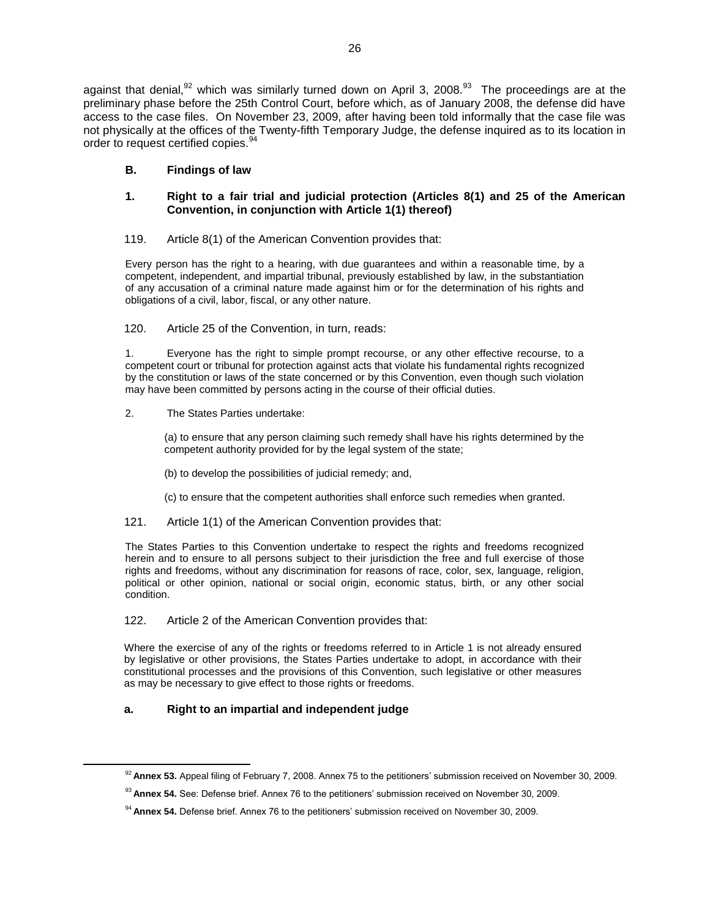against that denial,<sup>92</sup> which was similarly turned down on April 3, 2008.<sup>93</sup> The proceedings are at the preliminary phase before the 25th Control Court, before which, as of January 2008, the defense did have access to the case files. On November 23, 2009, after having been told informally that the case file was not physically at the offices of the Twenty-fifth Temporary Judge, the defense inquired as to its location in order to request certified copies.<sup>94</sup>

## **B. Findings of law**

### **1. Right to a fair trial and judicial protection (Articles 8(1) and 25 of the American Convention, in conjunction with Article 1(1) thereof)**

### 119. Article 8(1) of the American Convention provides that:

Every person has the right to a hearing, with due guarantees and within a reasonable time, by a competent, independent, and impartial tribunal, previously established by law, in the substantiation of any accusation of a criminal nature made against him or for the determination of his rights and obligations of a civil, labor, fiscal, or any other nature.

## 120. Article 25 of the Convention, in turn, reads:

1. Everyone has the right to simple prompt recourse, or any other effective recourse, to a competent court or tribunal for protection against acts that violate his fundamental rights recognized by the constitution or laws of the state concerned or by this Convention, even though such violation may have been committed by persons acting in the course of their official duties.

### 2. The States Parties undertake:

(a) to ensure that any person claiming such remedy shall have his rights determined by the competent authority provided for by the legal system of the state;

- (b) to develop the possibilities of judicial remedy; and,
- (c) to ensure that the competent authorities shall enforce such remedies when granted.
- 121. Article 1(1) of the American Convention provides that:

The States Parties to this Convention undertake to respect the rights and freedoms recognized herein and to ensure to all persons subject to their jurisdiction the free and full exercise of those rights and freedoms, without any discrimination for reasons of race, color, sex, language, religion, political or other opinion, national or social origin, economic status, birth, or any other social condition.

## 122. Article 2 of the American Convention provides that:

Where the exercise of any of the rights or freedoms referred to in Article 1 is not already ensured by legislative or other provisions, the States Parties undertake to adopt, in accordance with their constitutional processes and the provisions of this Convention, such legislative or other measures as may be necessary to give effect to those rights or freedoms.

## **a. Right to an impartial and independent judge**

<sup>&</sup>lt;sup>92</sup> Annex 53. Appeal filing of February 7, 2008. Annex 75 to the petitioners' submission received on November 30, 2009.

<sup>93</sup> **Annex 54.** See: Defense brief. Annex 76 to the petitioners' submission received on November 30, 2009.

<sup>94</sup> **Annex 54.** Defense brief. Annex 76 to the petitioners' submission received on November 30, 2009.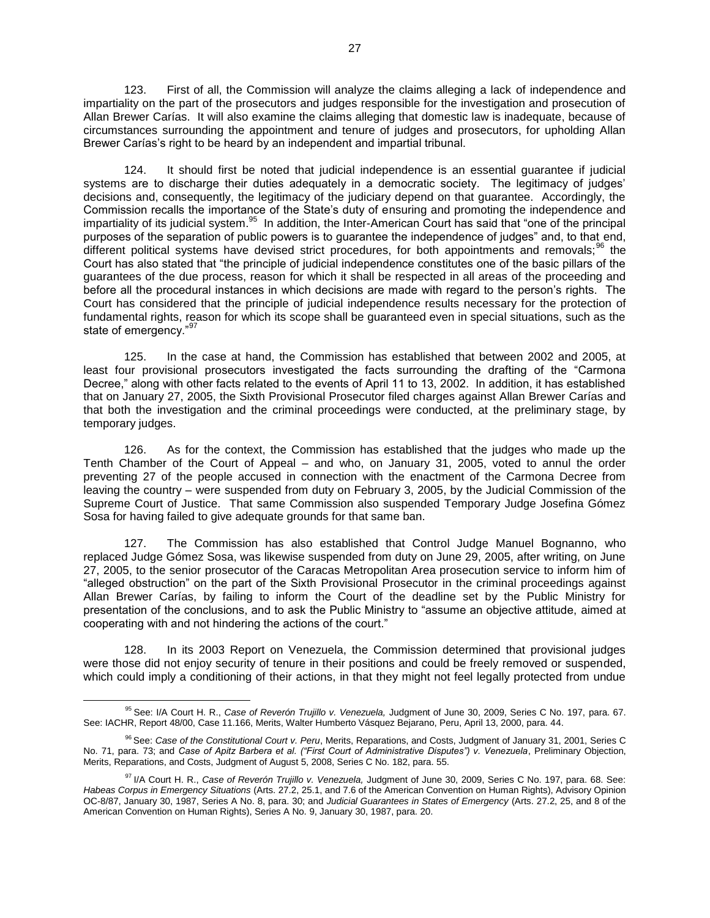123. First of all, the Commission will analyze the claims alleging a lack of independence and impartiality on the part of the prosecutors and judges responsible for the investigation and prosecution of Allan Brewer Carías. It will also examine the claims alleging that domestic law is inadequate, because of circumstances surrounding the appointment and tenure of judges and prosecutors, for upholding Allan Brewer Carías's right to be heard by an independent and impartial tribunal.

124. It should first be noted that judicial independence is an essential guarantee if judicial systems are to discharge their duties adequately in a democratic society. The legitimacy of judges' decisions and, consequently, the legitimacy of the judiciary depend on that guarantee. Accordingly, the Commission recalls the importance of the State's duty of ensuring and promoting the independence and impartiality of its judicial system.<sup>95</sup> In addition, the Inter-American Court has said that "one of the principal purposes of the separation of public powers is to guarantee the independence of judges" and, to that end, different political systems have devised strict procedures, for both appointments and removals;<sup>96</sup> the Court has also stated that "the principle of judicial independence constitutes one of the basic pillars of the guarantees of the due process, reason for which it shall be respected in all areas of the proceeding and before all the procedural instances in which decisions are made with regard to the person's rights. The Court has considered that the principle of judicial independence results necessary for the protection of fundamental rights, reason for which its scope shall be guaranteed even in special situations, such as the state of emergency."<sup>97</sup>

125. In the case at hand, the Commission has established that between 2002 and 2005, at least four provisional prosecutors investigated the facts surrounding the drafting of the "Carmona Decree," along with other facts related to the events of April 11 to 13, 2002. In addition, it has established that on January 27, 2005, the Sixth Provisional Prosecutor filed charges against Allan Brewer Carías and that both the investigation and the criminal proceedings were conducted, at the preliminary stage, by temporary judges.

126. As for the context, the Commission has established that the judges who made up the Tenth Chamber of the Court of Appeal – and who, on January 31, 2005, voted to annul the order preventing 27 of the people accused in connection with the enactment of the Carmona Decree from leaving the country – were suspended from duty on February 3, 2005, by the Judicial Commission of the Supreme Court of Justice. That same Commission also suspended Temporary Judge Josefina Gómez Sosa for having failed to give adequate grounds for that same ban.

127. The Commission has also established that Control Judge Manuel Bognanno, who replaced Judge Gómez Sosa, was likewise suspended from duty on June 29, 2005, after writing, on June 27, 2005, to the senior prosecutor of the Caracas Metropolitan Area prosecution service to inform him of "alleged obstruction" on the part of the Sixth Provisional Prosecutor in the criminal proceedings against Allan Brewer Carías, by failing to inform the Court of the deadline set by the Public Ministry for presentation of the conclusions, and to ask the Public Ministry to "assume an objective attitude, aimed at cooperating with and not hindering the actions of the court."

128. In its 2003 Report on Venezuela, the Commission determined that provisional judges were those did not enjoy security of tenure in their positions and could be freely removed or suspended, which could imply a conditioning of their actions, in that they might not feel legally protected from undue

<sup>95</sup> See: I/A Court H. R., *Case of Reverón Trujillo v. Venezuela,* Judgment of June 30, 2009, Series C No. 197, para. 67. See: IACHR, Report 48/00, Case 11.166, Merits, Walter Humberto Vásquez Bejarano, Peru, April 13, 2000, para. 44.

<sup>96</sup> See: *Case of the Constitutional Court v. Peru*, Merits, Reparations, and Costs, Judgment of January 31, 2001, Series C No. 71, para. 73; and *Case of Apitz Barbera et al. ("First Court of Administrative Disputes") v. Venezuela*, Preliminary Objection, Merits, Reparations, and Costs, Judgment of August 5, 2008, Series C No. 182, para. 55.

<sup>97</sup> I/A Court H. R., *Case of Reverón Trujillo v. Venezuela,* Judgment of June 30, 2009, Series C No. 197, para. 68. See: *Habeas Corpus in Emergency Situations* (Arts. 27.2, 25.1, and 7.6 of the American Convention on Human Rights), Advisory Opinion OC-8/87, January 30, 1987, Series A No. 8, para. 30; and *Judicial Guarantees in States of Emergency* (Arts. 27.2, 25, and 8 of the American Convention on Human Rights), Series A No. 9, January 30, 1987, para. 20.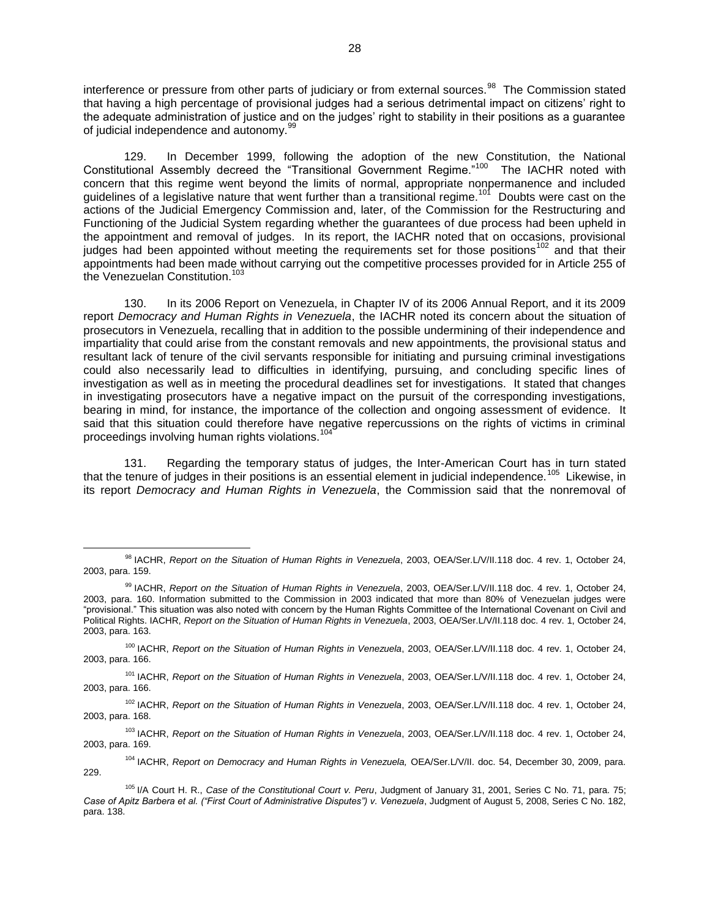interference or pressure from other parts of judiciary or from external sources.<sup>98</sup> The Commission stated that having a high percentage of provisional judges had a serious detrimental impact on citizens' right to the adequate administration of justice and on the judges' right to stability in their positions as a guarantee of judicial independence and autonomy. $99$ 

129. In December 1999, following the adoption of the new Constitution, the National Constitutional Assembly decreed the "Transitional Government Regime."<sup>100</sup> The IACHR noted with concern that this regime went beyond the limits of normal, appropriate nonpermanence and included guidelines of a legislative nature that went further than a transitional regime.<sup>101</sup> Doubts were cast on the actions of the Judicial Emergency Commission and, later, of the Commission for the Restructuring and Functioning of the Judicial System regarding whether the guarantees of due process had been upheld in the appointment and removal of judges. In its report, the IACHR noted that on occasions, provisional judges had been appointed without meeting the requirements set for those positions<sup>102</sup> and that their appointments had been made without carrying out the competitive processes provided for in Article 255 of the Venezuelan Constitution.<sup>103</sup>

130. In its 2006 Report on Venezuela, in Chapter IV of its 2006 Annual Report, and it its 2009 report *Democracy and Human Rights in Venezuela*, the IACHR noted its concern about the situation of prosecutors in Venezuela, recalling that in addition to the possible undermining of their independence and impartiality that could arise from the constant removals and new appointments, the provisional status and resultant lack of tenure of the civil servants responsible for initiating and pursuing criminal investigations could also necessarily lead to difficulties in identifying, pursuing, and concluding specific lines of investigation as well as in meeting the procedural deadlines set for investigations. It stated that changes in investigating prosecutors have a negative impact on the pursuit of the corresponding investigations, bearing in mind, for instance, the importance of the collection and ongoing assessment of evidence. It said that this situation could therefore have negative repercussions on the rights of victims in criminal proceedings involving human rights violations.<sup>11</sup>

131. Regarding the temporary status of judges, the Inter-American Court has in turn stated that the tenure of judges in their positions is an essential element in judicial independence.<sup>105</sup> Likewise, in its report *Democracy and Human Rights in Venezuela*, the Commission said that the nonremoval of

 $\overline{a}$ 

<sup>101</sup> IACHR, *Report on the Situation of Human Rights in Venezuela*, 2003, OEA/Ser.L/V/II.118 doc. 4 rev. 1, October 24, 2003, para. 166.

<sup>102</sup> IACHR, *Report on the Situation of Human Rights in Venezuela*, 2003, OEA/Ser.L/V/II.118 doc. 4 rev. 1, October 24, 2003, para. 168.

<sup>103</sup> IACHR, *Report on the Situation of Human Rights in Venezuela*, 2003, OEA/Ser.L/V/II.118 doc. 4 rev. 1, October 24, 2003, para. 169.

<sup>104</sup> IACHR, *Report on Democracy and Human Rights in Venezuela,* OEA/Ser.L/V/II. doc. 54, December 30, 2009, para. 229.

<sup>98</sup> IACHR, *Report on the Situation of Human Rights in Venezuela*, 2003, OEA/Ser.L/V/II.118 doc. 4 rev. 1, October 24, 2003, para. 159.

<sup>99</sup> IACHR, *Report on the Situation of Human Rights in Venezuela*, 2003, OEA/Ser.L/V/II.118 doc. 4 rev. 1, October 24, 2003, para. 160. Information submitted to the Commission in 2003 indicated that more than 80% of Venezuelan judges were "provisional." This situation was also noted with concern by the Human Rights Committee of the International Covenant on Civil and Political Rights. IACHR, *Report on the Situation of Human Rights in Venezuela*, 2003, OEA/Ser.L/V/II.118 doc. 4 rev. 1, October 24, 2003, para. 163.

<sup>&</sup>lt;sup>100</sup> IACHR, *Report on the Situation of Human Rights in Venezuela*, 2003, OEA/Ser.L/V/II.118 doc. 4 rev. 1, October 24, 2003, para. 166.

<sup>105</sup> I/A Court H. R., *Case of the Constitutional Court v. Peru*, Judgment of January 31, 2001, Series C No. 71, para. 75; *Case of Apitz Barbera et al. ("First Court of Administrative Disputes") v. Venezuela*, Judgment of August 5, 2008, Series C No. 182, para. 138.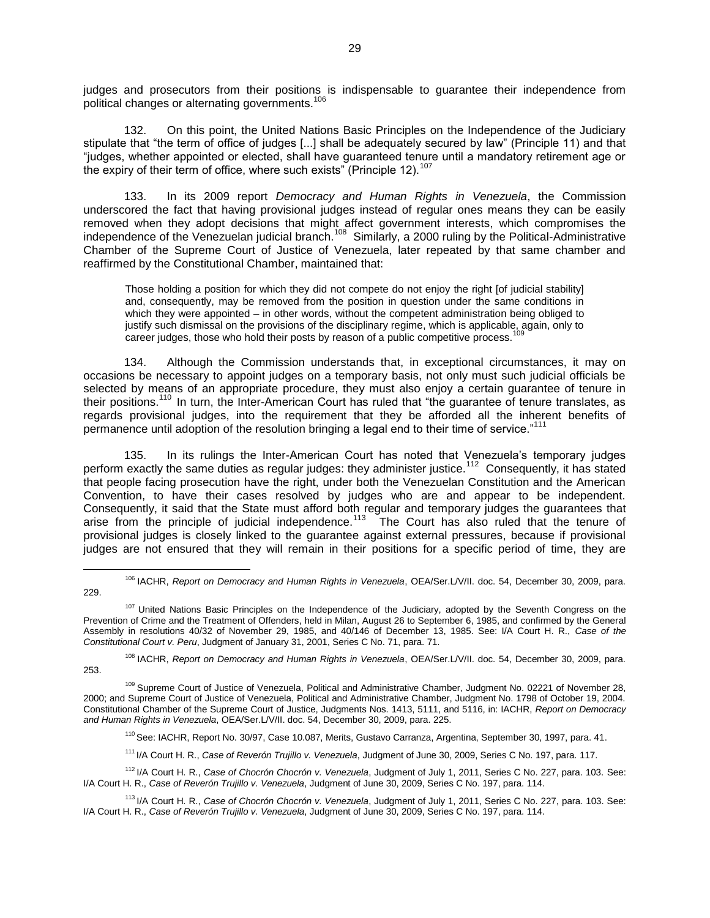judges and prosecutors from their positions is indispensable to guarantee their independence from political changes or alternating governments.<sup>106</sup>

132. On this point, the United Nations Basic Principles on the Independence of the Judiciary stipulate that "the term of office of judges [...] shall be adequately secured by law" (Principle 11) and that "judges, whether appointed or elected, shall have guaranteed tenure until a mandatory retirement age or the expiry of their term of office, where such exists" (Principle 12). $107$ 

133. In its 2009 report *Democracy and Human Rights in Venezuela*, the Commission underscored the fact that having provisional judges instead of regular ones means they can be easily removed when they adopt decisions that might affect government interests, which compromises the independence of the Venezuelan judicial branch.<sup>108</sup> Similarly, a 2000 ruling by the Political-Administrative Chamber of the Supreme Court of Justice of Venezuela, later repeated by that same chamber and reaffirmed by the Constitutional Chamber, maintained that:

Those holding a position for which they did not compete do not enjoy the right [of judicial stability] and, consequently, may be removed from the position in question under the same conditions in which they were appointed – in other words, without the competent administration being obliged to justify such dismissal on the provisions of the disciplinary regime, which is applicable, again, only to career judges, those who hold their posts by reason of a public competitive process.

134. Although the Commission understands that, in exceptional circumstances, it may on occasions be necessary to appoint judges on a temporary basis, not only must such judicial officials be selected by means of an appropriate procedure, they must also enjoy a certain guarantee of tenure in their positions.<sup>110</sup> In turn, the Inter-American Court has ruled that "the guarantee of tenure translates, as regards provisional judges, into the requirement that they be afforded all the inherent benefits of permanence until adoption of the resolution bringing a legal end to their time of service."<sup>111</sup>

135. In its rulings the Inter-American Court has noted that Venezuela's temporary judges perform exactly the same duties as regular judges: they administer justice.<sup>112</sup> Consequently, it has stated that people facing prosecution have the right, under both the Venezuelan Constitution and the American Convention, to have their cases resolved by judges who are and appear to be independent. Consequently, it said that the State must afford both regular and temporary judges the guarantees that arise from the principle of judicial independence.<sup>113</sup> The Court has also ruled that the tenure of provisional judges is closely linked to the guarantee against external pressures, because if provisional judges are not ensured that they will remain in their positions for a specific period of time, they are

 $\overline{a}$ 

<sup>108</sup> IACHR, *Report on Democracy and Human Rights in Venezuela*, OEA/Ser.L/V/II. doc. 54, December 30, 2009, para. 253.

<sup>111</sup> I/A Court H. R., *Case of Reverón Trujillo v. Venezuela*, Judgment of June 30, 2009, Series C No. 197, para. 117.

<sup>106</sup> IACHR, *Report on Democracy and Human Rights in Venezuela*, OEA/Ser.L/V/II. doc. 54, December 30, 2009, para. 229.

<sup>&</sup>lt;sup>107</sup> United Nations Basic Principles on the Independence of the Judiciary, adopted by the Seventh Congress on the Prevention of Crime and the Treatment of Offenders, held in Milan, August 26 to September 6, 1985, and confirmed by the General Assembly in resolutions 40/32 of November 29, 1985, and 40/146 of December 13, 1985. See: I/A Court H. R., *Case of the Constitutional Court v. Peru*, Judgment of January 31, 2001, Series C No. 71, para. 71.

<sup>109</sup> Supreme Court of Justice of Venezuela, Political and Administrative Chamber, Judgment No. 02221 of November 28, 2000; and Supreme Court of Justice of Venezuela, Political and Administrative Chamber, Judgment No. 1798 of October 19, 2004. Constitutional Chamber of the Supreme Court of Justice, Judgments Nos. 1413, 5111, and 5116, in: IACHR, *Report on Democracy and Human Rights in Venezuela*, OEA/Ser.L/V/II. doc. 54, December 30, 2009, para. 225.

<sup>110</sup> See: IACHR, Report No. 30/97, Case 10.087, Merits, Gustavo Carranza, Argentina, September 30, 1997, para. 41.

<sup>112</sup> I/A Court H. R., *Case of Chocrón Chocrón v. Venezuela*, Judgment of July 1, 2011, Series C No. 227, para. 103. See: I/A Court H. R., *Case of Reverón Trujillo v. Venezuela*, Judgment of June 30, 2009, Series C No. 197, para. 114.

<sup>113</sup> I/A Court H. R., *Case of Chocrón Chocrón v. Venezuela*, Judgment of July 1, 2011, Series C No. 227, para. 103. See: I/A Court H. R., *Case of Reverón Trujillo v. Venezuela*, Judgment of June 30, 2009, Series C No. 197, para. 114.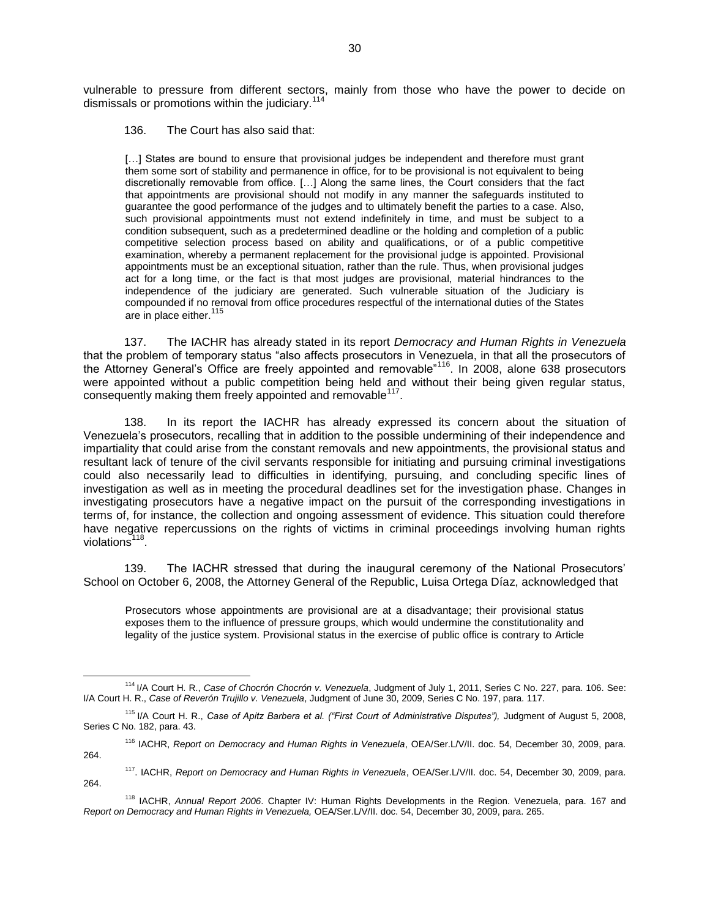vulnerable to pressure from different sectors, mainly from those who have the power to decide on dismissals or promotions within the judiciary.<sup>114</sup>

#### 136. The Court has also said that:

 $\overline{a}$ 

[...] States are bound to ensure that provisional judges be independent and therefore must grant them some sort of stability and permanence in office, for to be provisional is not equivalent to being discretionally removable from office. […] Along the same lines, the Court considers that the fact that appointments are provisional should not modify in any manner the safeguards instituted to guarantee the good performance of the judges and to ultimately benefit the parties to a case. Also, such provisional appointments must not extend indefinitely in time, and must be subject to a condition subsequent, such as a predetermined deadline or the holding and completion of a public competitive selection process based on ability and qualifications, or of a public competitive examination, whereby a permanent replacement for the provisional judge is appointed. Provisional appointments must be an exceptional situation, rather than the rule. Thus, when provisional judges act for a long time, or the fact is that most judges are provisional, material hindrances to the independence of the judiciary are generated. Such vulnerable situation of the Judiciary is compounded if no removal from office procedures respectful of the international duties of the States are in place either.<sup>115</sup>

137. The IACHR has already stated in its report *Democracy and Human Rights in Venezuela*  that the problem of temporary status "also affects prosecutors in Venezuela, in that all the prosecutors of the Attorney General's Office are freely appointed and removable"<sup>116</sup>. In 2008, alone 638 prosecutors were appointed without a public competition being held and without their being given regular status, consequently making them freely appointed and removable  $117$ .

138. In its report the IACHR has already expressed its concern about the situation of Venezuela's prosecutors, recalling that in addition to the possible undermining of their independence and impartiality that could arise from the constant removals and new appointments, the provisional status and resultant lack of tenure of the civil servants responsible for initiating and pursuing criminal investigations could also necessarily lead to difficulties in identifying, pursuing, and concluding specific lines of investigation as well as in meeting the procedural deadlines set for the investigation phase. Changes in investigating prosecutors have a negative impact on the pursuit of the corresponding investigations in terms of, for instance, the collection and ongoing assessment of evidence. This situation could therefore have negative repercussions on the rights of victims in criminal proceedings involving human rights violations<sup>118</sup>.

139. The IACHR stressed that during the inaugural ceremony of the National Prosecutors' School on October 6, 2008, the Attorney General of the Republic, Luisa Ortega Díaz, acknowledged that

Prosecutors whose appointments are provisional are at a disadvantage; their provisional status exposes them to the influence of pressure groups, which would undermine the constitutionality and legality of the justice system. Provisional status in the exercise of public office is contrary to Article

<sup>114</sup> I/A Court H. R., *Case of Chocrón Chocrón v. Venezuela*, Judgment of July 1, 2011, Series C No. 227, para. 106. See: I/A Court H. R., *Case of Reverón Trujillo v. Venezuela*, Judgment of June 30, 2009, Series C No. 197, para. 117.

<sup>&</sup>lt;sup>115</sup> I/A Court H. R., Case of Apitz Barbera et al. ("First Court of Administrative Disputes"), Judgment of August 5, 2008, Series C No. 182, para. 43.

<sup>116</sup> IACHR, *Report on Democracy and Human Rights in Venezuela*, OEA/Ser.L/V/II. doc. 54, December 30, 2009, para. 264.

<sup>117</sup>. IACHR, *Report on Democracy and Human Rights in Venezuela*, OEA/Ser.L/V/II. doc. 54, December 30, 2009, para. 264.

<sup>118</sup> IACHR, *Annual Report 2006*. Chapter IV: Human Rights Developments in the Region. Venezuela, para. 167 and *Report on Democracy and Human Rights in Venezuela,* OEA/Ser.L/V/II. doc. 54, December 30, 2009, para. 265.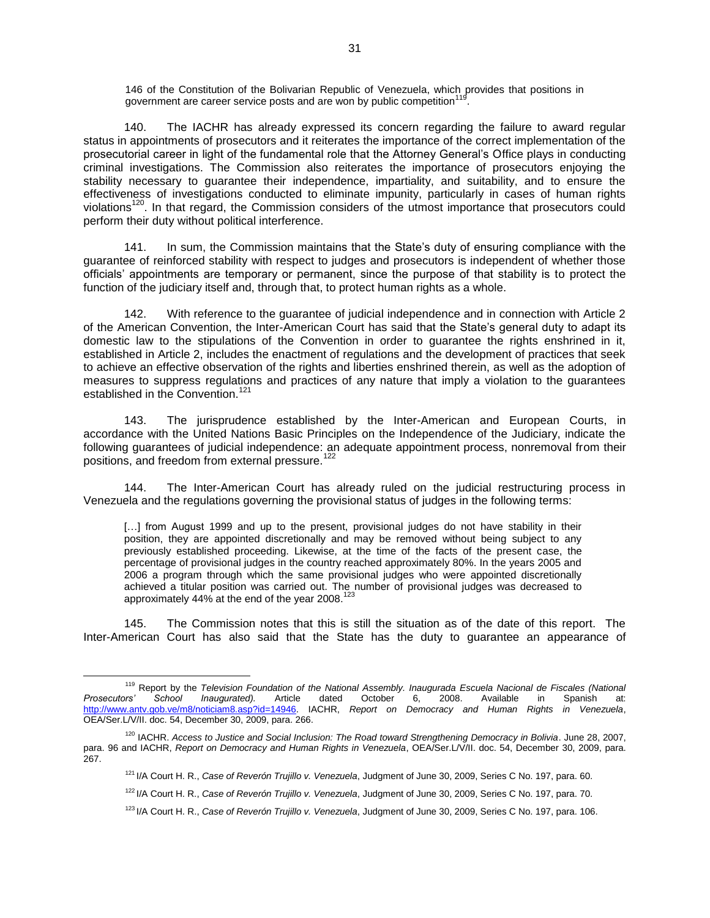146 of the Constitution of the Bolivarian Republic of Venezuela, which provides that positions in government are career service posts and are won by public competition<sup>119</sup> .

140. The IACHR has already expressed its concern regarding the failure to award regular status in appointments of prosecutors and it reiterates the importance of the correct implementation of the prosecutorial career in light of the fundamental role that the Attorney General's Office plays in conducting criminal investigations. The Commission also reiterates the importance of prosecutors enjoying the stability necessary to guarantee their independence, impartiality, and suitability, and to ensure the effectiveness of investigations conducted to eliminate impunity, particularly in cases of human rights violations<sup>120</sup>. In that regard, the Commission considers of the utmost importance that prosecutors could perform their duty without political interference.

141. In sum, the Commission maintains that the State's duty of ensuring compliance with the guarantee of reinforced stability with respect to judges and prosecutors is independent of whether those officials' appointments are temporary or permanent, since the purpose of that stability is to protect the function of the judiciary itself and, through that, to protect human rights as a whole.

142. With reference to the guarantee of judicial independence and in connection with Article 2 of the American Convention, the Inter-American Court has said that the State's general duty to adapt its domestic law to the stipulations of the Convention in order to guarantee the rights enshrined in it, established in Article 2, includes the enactment of regulations and the development of practices that seek to achieve an effective observation of the rights and liberties enshrined therein, as well as the adoption of measures to suppress regulations and practices of any nature that imply a violation to the guarantees established in the Convention.<sup>12</sup>

143. The jurisprudence established by the Inter-American and European Courts, in accordance with the United Nations Basic Principles on the Independence of the Judiciary, indicate the following guarantees of judicial independence: an adequate appointment process, nonremoval from their positions, and freedom from external pressure.<sup>122</sup>

144. The Inter-American Court has already ruled on the judicial restructuring process in Venezuela and the regulations governing the provisional status of judges in the following terms:

[...] from August 1999 and up to the present, provisional judges do not have stability in their position, they are appointed discretionally and may be removed without being subject to any previously established proceeding. Likewise, at the time of the facts of the present case, the percentage of provisional judges in the country reached approximately 80%. In the years 2005 and 2006 a program through which the same provisional judges who were appointed discretionally achieved a titular position was carried out. The number of provisional judges was decreased to approximately 44% at the end of the year 2008.<sup>123</sup>

145. The Commission notes that this is still the situation as of the date of this report. The Inter-American Court has also said that the State has the duty to guarantee an appearance of

<sup>119</sup> Report by the *Television Foundation of the National Assembly. Inaugurada Escuela Nacional de Fiscales (National Prosecutors' School Inaugurated).* Article dated October 6, 2008. Available in Spanish at: [http://www.antv.gob.ve/m8/noticiam8.asp?id=14946.](http://www.antv.gob.ve/m8/noticiam8.asp?id=14946) IACHR, *Report on Democracy and Human Rights in Venezuela*, OEA/Ser.L/V/II. doc. 54, December 30, 2009, para. 266.

<sup>120</sup> IACHR. *Access to Justice and Social Inclusion: The Road toward Strengthening Democracy in Bolivia*. June 28, 2007, para. 96 and IACHR, *Report on Democracy and Human Rights in Venezuela*, OEA/Ser.L/V/II. doc. 54, December 30, 2009, para. 267.

<sup>121</sup> I/A Court H. R., *Case of Reverón Trujillo v. Venezuela*, Judgment of June 30, 2009, Series C No. 197, para. 60.

<sup>122</sup> I/A Court H. R., *Case of Reverón Trujillo v. Venezuela*, Judgment of June 30, 2009, Series C No. 197, para. 70.

<sup>123</sup> I/A Court H. R., *Case of Reverón Trujillo v. Venezuela*, Judgment of June 30, 2009, Series C No. 197, para. 106.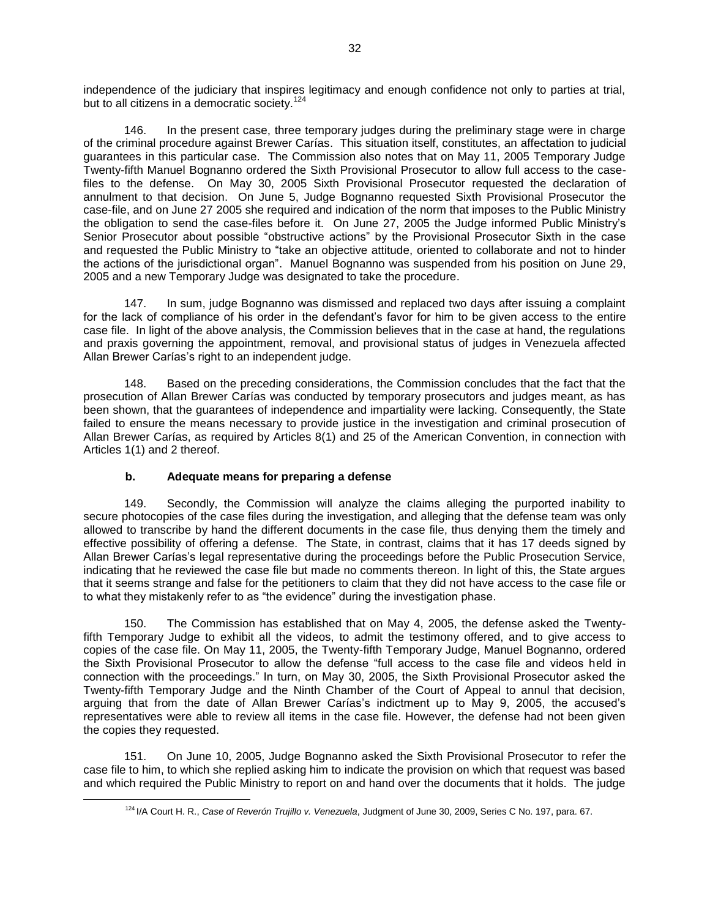independence of the judiciary that inspires legitimacy and enough confidence not only to parties at trial, but to all citizens in a democratic society.<sup>124</sup>

146. In the present case, three temporary judges during the preliminary stage were in charge of the criminal procedure against Brewer Carías. This situation itself, constitutes, an affectation to judicial guarantees in this particular case. The Commission also notes that on May 11, 2005 Temporary Judge Twenty-fifth Manuel Bognanno ordered the Sixth Provisional Prosecutor to allow full access to the casefiles to the defense. On May 30, 2005 Sixth Provisional Prosecutor requested the declaration of annulment to that decision. On June 5, Judge Bognanno requested Sixth Provisional Prosecutor the case-file, and on June 27 2005 she required and indication of the norm that imposes to the Public Ministry the obligation to send the case-files before it. On June 27, 2005 the Judge informed Public Ministry's Senior Prosecutor about possible "obstructive actions" by the Provisional Prosecutor Sixth in the case and requested the Public Ministry to "take an objective attitude, oriented to collaborate and not to hinder the actions of the jurisdictional organ". Manuel Bognanno was suspended from his position on June 29, 2005 and a new Temporary Judge was designated to take the procedure.

147. In sum, judge Bognanno was dismissed and replaced two days after issuing a complaint for the lack of compliance of his order in the defendant's favor for him to be given access to the entire case file. In light of the above analysis, the Commission believes that in the case at hand, the regulations and praxis governing the appointment, removal, and provisional status of judges in Venezuela affected Allan Brewer Carías's right to an independent judge.

148. Based on the preceding considerations, the Commission concludes that the fact that the prosecution of Allan Brewer Carías was conducted by temporary prosecutors and judges meant, as has been shown, that the guarantees of independence and impartiality were lacking. Consequently, the State failed to ensure the means necessary to provide justice in the investigation and criminal prosecution of Allan Brewer Carías, as required by Articles 8(1) and 25 of the American Convention, in connection with Articles 1(1) and 2 thereof.

## **b. Adequate means for preparing a defense**

 $\overline{a}$ 

149. Secondly, the Commission will analyze the claims alleging the purported inability to secure photocopies of the case files during the investigation, and alleging that the defense team was only allowed to transcribe by hand the different documents in the case file, thus denying them the timely and effective possibility of offering a defense. The State, in contrast, claims that it has 17 deeds signed by Allan Brewer Carías's legal representative during the proceedings before the Public Prosecution Service, indicating that he reviewed the case file but made no comments thereon. In light of this, the State argues that it seems strange and false for the petitioners to claim that they did not have access to the case file or to what they mistakenly refer to as "the evidence" during the investigation phase.

150. The Commission has established that on May 4, 2005, the defense asked the Twentyfifth Temporary Judge to exhibit all the videos, to admit the testimony offered, and to give access to copies of the case file. On May 11, 2005, the Twenty-fifth Temporary Judge, Manuel Bognanno, ordered the Sixth Provisional Prosecutor to allow the defense "full access to the case file and videos held in connection with the proceedings." In turn, on May 30, 2005, the Sixth Provisional Prosecutor asked the Twenty-fifth Temporary Judge and the Ninth Chamber of the Court of Appeal to annul that decision, arguing that from the date of Allan Brewer Carías's indictment up to May 9, 2005, the accused's representatives were able to review all items in the case file. However, the defense had not been given the copies they requested.

151. On June 10, 2005, Judge Bognanno asked the Sixth Provisional Prosecutor to refer the case file to him, to which she replied asking him to indicate the provision on which that request was based and which required the Public Ministry to report on and hand over the documents that it holds. The judge

<sup>124</sup> I/A Court H. R., *Case of Reverón Trujillo v. Venezuela*, Judgment of June 30, 2009, Series C No. 197, para. 67.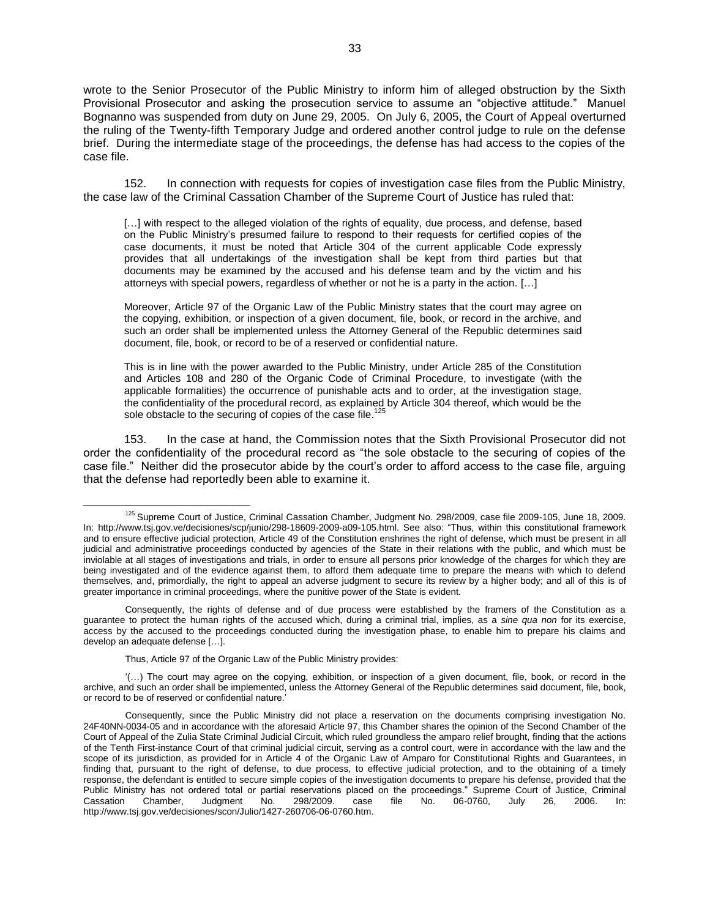wrote to the Senior Prosecutor of the Public Ministry to inform him of alleged obstruction by the Sixth Provisional Prosecutor and asking the prosecution service to assume an "objective attitude." Manuel Bognanno was suspended from duty on June 29, 2005. On July 6, 2005, the Court of Appeal overturned the ruling of the Twenty-fifth Temporary Judge and ordered another control judge to rule on the defense brief. During the intermediate stage of the proceedings, the defense has had access to the copies of the case file.

152. In connection with requests for copies of investigation case files from the Public Ministry, the case law of the Criminal Cassation Chamber of the Supreme Court of Justice has ruled that:

[...] with respect to the alleged violation of the rights of equality, due process, and defense, based on the Public Ministry's presumed failure to respond to their requests for certified copies of the case documents, it must be noted that Article 304 of the current applicable Code expressly provides that all undertakings of the investigation shall be kept from third parties but that documents may be examined by the accused and his defense team and by the victim and his attorneys with special powers, regardless of whether or not he is a party in the action. […]

Moreover, Article 97 of the Organic Law of the Public Ministry states that the court may agree on the copying, exhibition, or inspection of a given document, file, book, or record in the archive, and such an order shall be implemented unless the Attorney General of the Republic determines said document, file, book, or record to be of a reserved or confidential nature.

This is in line with the power awarded to the Public Ministry, under Article 285 of the Constitution and Articles 108 and 280 of the Organic Code of Criminal Procedure, to investigate (with the applicable formalities) the occurrence of punishable acts and to order, at the investigation stage, the confidentiality of the procedural record, as explained by Article 304 thereof, which would be the sole obstacle to the securing of copies of the case file.<sup>125</sup>

153. In the case at hand, the Commission notes that the Sixth Provisional Prosecutor did not order the confidentiality of the procedural record as "the sole obstacle to the securing of copies of the case file." Neither did the prosecutor abide by the court's order to afford access to the case file, arguing that the defense had reportedly been able to examine it.

<sup>&</sup>lt;sup>125</sup> Supreme Court of Justice, Criminal Cassation Chamber, Judgment No. 298/2009, case file 2009-105, June 18, 2009. In: [http://www.tsj.gov.ve/decisiones/scp/junio/298-18609-2009-a09-105.html.](http://www.tsj.gov.ve/decisiones/scp/junio/298-18609-2009-a09-105.html) See also: "Thus, within this constitutional framework and to ensure effective judicial protection, Article 49 of the Constitution enshrines the right of defense, which must be present in all judicial and administrative proceedings conducted by agencies of the State in their relations with the public, and which must be inviolable at all stages of investigations and trials, in order to ensure all persons prior knowledge of the charges for which they are being investigated and of the evidence against them, to afford them adequate time to prepare the means with which to defend themselves, and, primordially, the right to appeal an adverse judgment to secure its review by a higher body; and all of this is of greater importance in criminal proceedings, where the punitive power of the State is evident.

Consequently, the rights of defense and of due process were established by the framers of the Constitution as a guarantee to protect the human rights of the accused which, during a criminal trial, implies, as a *sine qua non* for its exercise, access by the accused to the proceedings conducted during the investigation phase, to enable him to prepare his claims and develop an adequate defense […].

Thus, Article 97 of the Organic Law of the Public Ministry provides:

<sup>&#</sup>x27;(…) The court may agree on the copying, exhibition, or inspection of a given document, file, book, or record in the archive, and such an order shall be implemented, unless the Attorney General of the Republic determines said document, file, book, or record to be of reserved or confidential nature.'

Consequently, since the Public Ministry did not place a reservation on the documents comprising investigation No. 24F40NN-0034-05 and in accordance with the aforesaid Article 97, this Chamber shares the opinion of the Second Chamber of the Court of Appeal of the Zulia State Criminal Judicial Circuit, which ruled groundless the amparo relief brought, finding that the actions of the Tenth First-instance Court of that criminal judicial circuit, serving as a control court, were in accordance with the law and the scope of its jurisdiction, as provided for in Article 4 of the Organic Law of Amparo for Constitutional Rights and Guarantees, in finding that, pursuant to the right of defense, to due process, to effective judicial protection, and to the obtaining of a timely response, the defendant is entitled to secure simple copies of the investigation documents to prepare his defense, provided that the Public Ministry has not ordered total or partial reservations placed on the proceedings." Supreme Court of Justice, Criminal Cassation Chamber, Judgment No. 298/2009. case file No. 06-0760, July 26, 2006. In: [http://www.tsj.gov.ve/decisiones/scon/Julio/1427-260706-06-0760.htm.](http://www.tsj.gov.ve/decisiones/scon/Julio/1427-260706-06-0760.htm)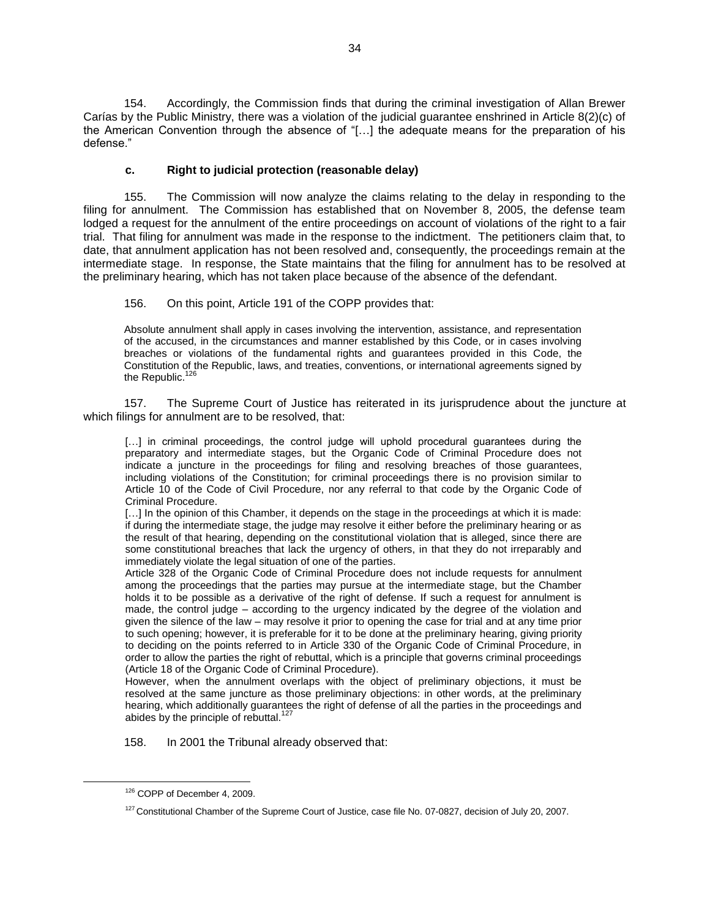154. Accordingly, the Commission finds that during the criminal investigation of Allan Brewer Carías by the Public Ministry, there was a violation of the judicial guarantee enshrined in Article 8(2)(c) of the American Convention through the absence of "[…] the adequate means for the preparation of his defense."

### **c. Right to judicial protection (reasonable delay)**

155. The Commission will now analyze the claims relating to the delay in responding to the filing for annulment. The Commission has established that on November 8, 2005, the defense team lodged a request for the annulment of the entire proceedings on account of violations of the right to a fair trial. That filing for annulment was made in the response to the indictment. The petitioners claim that, to date, that annulment application has not been resolved and, consequently, the proceedings remain at the intermediate stage. In response, the State maintains that the filing for annulment has to be resolved at the preliminary hearing, which has not taken place because of the absence of the defendant.

156. On this point, Article 191 of the COPP provides that:

Absolute annulment shall apply in cases involving the intervention, assistance, and representation of the accused, in the circumstances and manner established by this Code, or in cases involving breaches or violations of the fundamental rights and guarantees provided in this Code, the Constitution of the Republic, laws, and treaties, conventions, or international agreements signed by the Republic. $<sup>1</sup>$ </sup>

157. The Supreme Court of Justice has reiterated in its jurisprudence about the juncture at which filings for annulment are to be resolved, that:

[...] in criminal proceedings, the control judge will uphold procedural guarantees during the preparatory and intermediate stages, but the Organic Code of Criminal Procedure does not indicate a juncture in the proceedings for filing and resolving breaches of those guarantees, including violations of the Constitution; for criminal proceedings there is no provision similar to Article 10 of the Code of Civil Procedure, nor any referral to that code by the Organic Code of Criminal Procedure.

[...] In the opinion of this Chamber, it depends on the stage in the proceedings at which it is made: if during the intermediate stage, the judge may resolve it either before the preliminary hearing or as the result of that hearing, depending on the constitutional violation that is alleged, since there are some constitutional breaches that lack the urgency of others, in that they do not irreparably and immediately violate the legal situation of one of the parties.

Article 328 of the Organic Code of Criminal Procedure does not include requests for annulment among the proceedings that the parties may pursue at the intermediate stage, but the Chamber holds it to be possible as a derivative of the right of defense. If such a request for annulment is made, the control judge – according to the urgency indicated by the degree of the violation and given the silence of the law – may resolve it prior to opening the case for trial and at any time prior to such opening; however, it is preferable for it to be done at the preliminary hearing, giving priority to deciding on the points referred to in Article 330 of the Organic Code of Criminal Procedure, in order to allow the parties the right of rebuttal, which is a principle that governs criminal proceedings (Article 18 of the Organic Code of Criminal Procedure).

However, when the annulment overlaps with the object of preliminary objections, it must be resolved at the same juncture as those preliminary objections: in other words, at the preliminary hearing, which additionally guarantees the right of defense of all the parties in the proceedings and abides by the principle of rebuttal.<sup>1</sup>

158. In 2001 the Tribunal already observed that:

<sup>126</sup> COPP of December 4, 2009.

<sup>&</sup>lt;sup>127</sup> Constitutional Chamber of the Supreme Court of Justice, case file No. 07-0827, decision of July 20, 2007.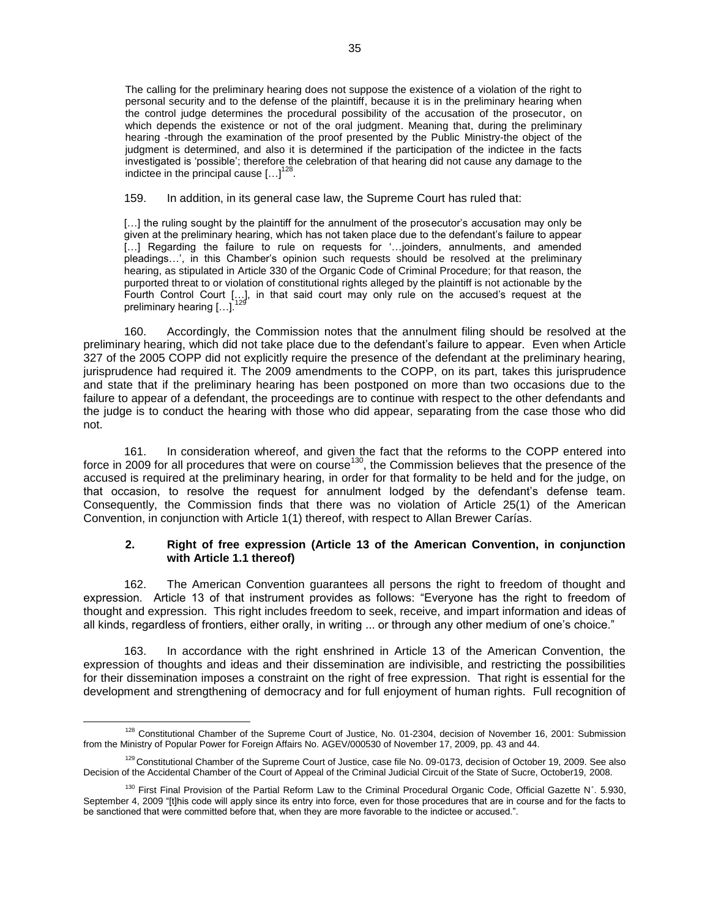The calling for the preliminary hearing does not suppose the existence of a violation of the right to personal security and to the defense of the plaintiff, because it is in the preliminary hearing when the control judge determines the procedural possibility of the accusation of the prosecutor, on which depends the existence or not of the oral judgment. Meaning that, during the preliminary hearing -through the examination of the proof presented by the Public Ministry-the object of the judgment is determined, and also it is determined if the participation of the indictee in the facts investigated is 'possible'; therefore the celebration of that hearing did not cause any damage to the indictee in the principal cause  $\left[ \ldots \right]^{128}$ .

159. In addition, in its general case law, the Supreme Court has ruled that:

[...] the ruling sought by the plaintiff for the annulment of the prosecutor's accusation may only be given at the preliminary hearing, which has not taken place due to the defendant's failure to appear [...] Regarding the failure to rule on requests for '...joinders, annulments, and amended pleadings…', in this Chamber's opinion such requests should be resolved at the preliminary hearing, as stipulated in Article 330 of the Organic Code of Criminal Procedure; for that reason, the purported threat to or violation of constitutional rights alleged by the plaintiff is not actionable by the Fourth Control Court […], in that said court may only rule on the accused's request at the preliminary hearing  $[...]$ .

160. Accordingly, the Commission notes that the annulment filing should be resolved at the preliminary hearing, which did not take place due to the defendant's failure to appear. Even when Article 327 of the 2005 COPP did not explicitly require the presence of the defendant at the preliminary hearing, jurisprudence had required it. The 2009 amendments to the COPP, on its part, takes this jurisprudence and state that if the preliminary hearing has been postponed on more than two occasions due to the failure to appear of a defendant, the proceedings are to continue with respect to the other defendants and the judge is to conduct the hearing with those who did appear, separating from the case those who did not.

161. In consideration whereof, and given the fact that the reforms to the COPP entered into force in 2009 for all procedures that were on course<sup>130</sup>, the Commission believes that the presence of the accused is required at the preliminary hearing, in order for that formality to be held and for the judge, on that occasion, to resolve the request for annulment lodged by the defendant's defense team. Consequently, the Commission finds that there was no violation of Article 25(1) of the American Convention, in conjunction with Article 1(1) thereof, with respect to Allan Brewer Carías.

#### **2. Right of free expression (Article 13 of the American Convention, in conjunction with Article 1.1 thereof)**

162. The American Convention guarantees all persons the right to freedom of thought and expression. Article 13 of that instrument provides as follows: "Everyone has the right to freedom of thought and expression. This right includes freedom to seek, receive, and impart information and ideas of all kinds, regardless of frontiers, either orally, in writing ... or through any other medium of one's choice."

163. In accordance with the right enshrined in Article 13 of the American Convention, the expression of thoughts and ideas and their dissemination are indivisible, and restricting the possibilities for their dissemination imposes a constraint on the right of free expression. That right is essential for the development and strengthening of democracy and for full enjoyment of human rights. Full recognition of

<sup>&</sup>lt;sup>128</sup> Constitutional Chamber of the Supreme Court of Justice, No. 01-2304, decision of November 16, 2001: Submission from the Ministry of Popular Power for Foreign Affairs No. AGEV/000530 of November 17, 2009, pp. 43 and 44.

<sup>&</sup>lt;sup>129</sup> Constitutional Chamber of the Supreme Court of Justice, case file No. 09-0173, decision of October 19, 2009. See also Decision of the Accidental Chamber of the Court of Appeal of the Criminal Judicial Circuit of the State of Sucre, October19, 2008.

<sup>130</sup> First Final Provision of the Partial Reform Law to the Criminal Procedural Organic Code, Official Gazette N°. 5.930, September 4, 2009 "[t]his code will apply since its entry into force, even for those procedures that are in course and for the facts to be sanctioned that were committed before that, when they are more favorable to the indictee or accused.".